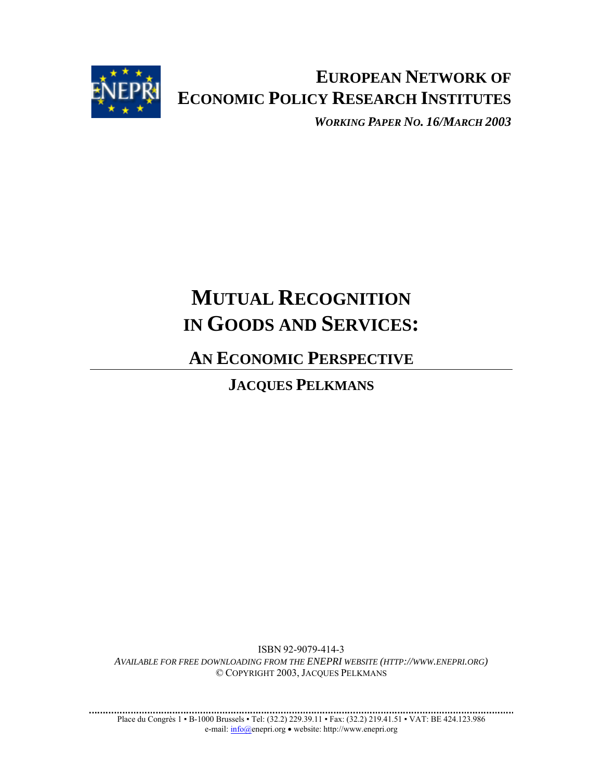

## **EUROPEAN NETWORK OF ECONOMIC POLICY RESEARCH INSTITUTES**

*WORKING PAPER NO. 16/MARCH 2003* 

# **MUTUAL RECOGNITION IN GOODS AND SERVICES:**

**AN ECONOMIC PERSPECTIVE**

**JACQUES PELKMANS**

ISBN 92-9079-414-3 *AVAILABLE FOR FREE DOWNLOADING FROM THE ENEPRI WEBSITE (HTTP://WWW.ENEPRI.ORG)*  © COPYRIGHT 2003, JACQUES PELKMANS

Place du Congrès 1 ▪ B-1000 Brussels ▪ Tel: (32.2) 229.39.11 ▪ Fax: (32.2) 219.41.51 ▪ VAT: BE 424.123.986 e-mail: info@enepri.org • website: http://www.enepri.org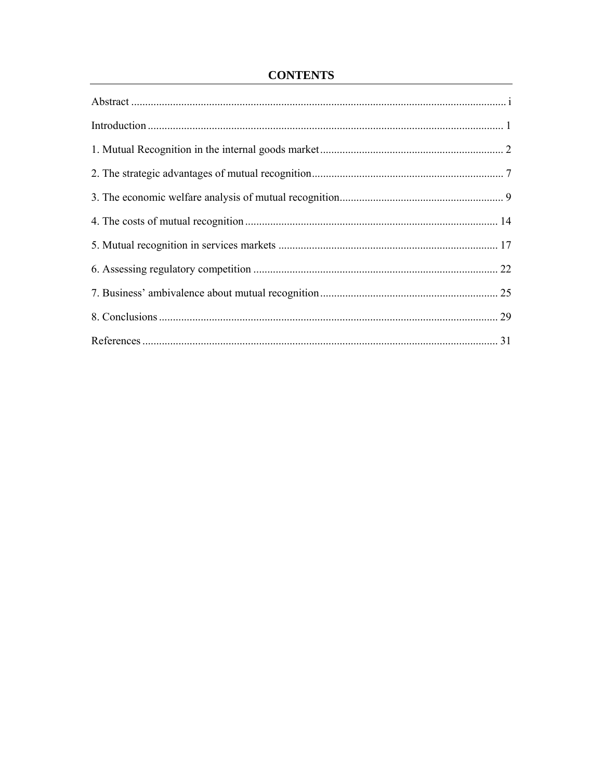#### **CONTENTS**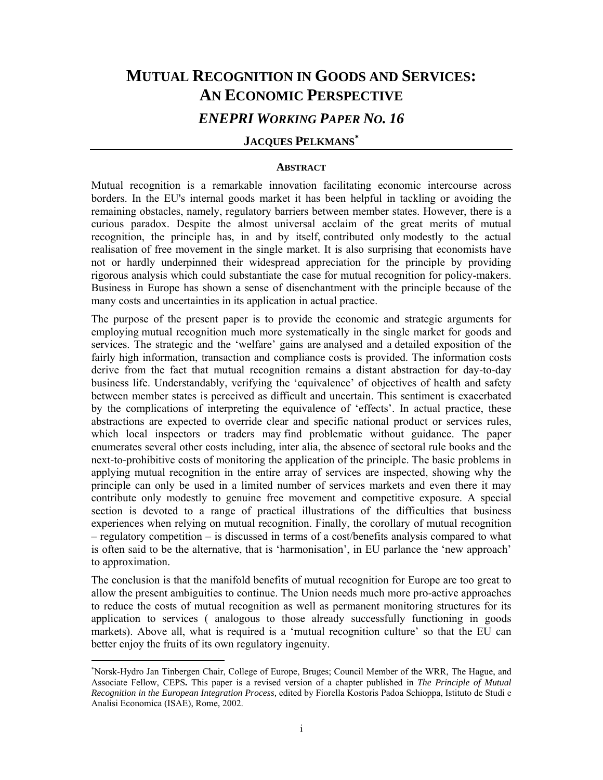## **MUTUAL RECOGNITION IN GOODS AND SERVICES: AN ECONOMIC PERSPECTIVE**

### *ENEPRI WORKING PAPER NO. 16*

### **JACQUES PELKMANS**<sup>∗</sup>

#### **ABSTRACT**

Mutual recognition is a remarkable innovation facilitating economic intercourse across borders. In the EU's internal goods market it has been helpful in tackling or avoiding the remaining obstacles, namely, regulatory barriers between member states. However, there is a curious paradox. Despite the almost universal acclaim of the great merits of mutual recognition, the principle has, in and by itself, contributed only modestly to the actual realisation of free movement in the single market. It is also surprising that economists have not or hardly underpinned their widespread appreciation for the principle by providing rigorous analysis which could substantiate the case for mutual recognition for policy-makers. Business in Europe has shown a sense of disenchantment with the principle because of the many costs and uncertainties in its application in actual practice.

The purpose of the present paper is to provide the economic and strategic arguments for employing mutual recognition much more systematically in the single market for goods and services. The strategic and the 'welfare' gains are analysed and a detailed exposition of the fairly high information, transaction and compliance costs is provided. The information costs derive from the fact that mutual recognition remains a distant abstraction for day-to-day business life. Understandably, verifying the 'equivalence' of objectives of health and safety between member states is perceived as difficult and uncertain. This sentiment is exacerbated by the complications of interpreting the equivalence of 'effects'. In actual practice, these abstractions are expected to override clear and specific national product or services rules, which local inspectors or traders may find problematic without guidance. The paper enumerates several other costs including, inter alia, the absence of sectoral rule books and the next-to-prohibitive costs of monitoring the application of the principle. The basic problems in applying mutual recognition in the entire array of services are inspected, showing why the principle can only be used in a limited number of services markets and even there it may contribute only modestly to genuine free movement and competitive exposure. A special section is devoted to a range of practical illustrations of the difficulties that business experiences when relying on mutual recognition. Finally, the corollary of mutual recognition – regulatory competition – is discussed in terms of a cost/benefits analysis compared to what is often said to be the alternative, that is 'harmonisation', in EU parlance the 'new approach' to approximation.

The conclusion is that the manifold benefits of mutual recognition for Europe are too great to allow the present ambiguities to continue. The Union needs much more pro-active approaches to reduce the costs of mutual recognition as well as permanent monitoring structures for its application to services ( analogous to those already successfully functioning in goods markets). Above all, what is required is a 'mutual recognition culture' so that the EU can better enjoy the fruits of its own regulatory ingenuity.

<sup>∗</sup> Norsk-Hydro Jan Tinbergen Chair, College of Europe, Bruges; Council Member of the WRR, The Hague, and Associate Fellow, CEPS**.** This paper is a revised version of a chapter published in *The Principle of Mutual Recognition in the European Integration Process,* edited by Fiorella Kostoris Padoa Schioppa, Istituto de Studi e Analisi Economica (ISAE), Rome, 2002.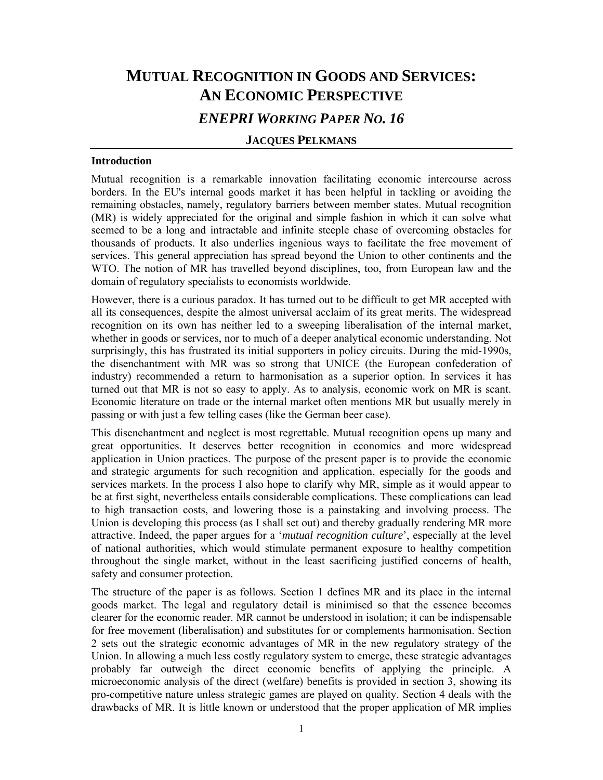## **MUTUAL RECOGNITION IN GOODS AND SERVICES: AN ECONOMIC PERSPECTIVE** *ENEPRI WORKING PAPER NO. 16*

#### **JACQUES PELKMANS**

#### **Introduction**

Mutual recognition is a remarkable innovation facilitating economic intercourse across borders. In the EU's internal goods market it has been helpful in tackling or avoiding the remaining obstacles, namely, regulatory barriers between member states. Mutual recognition (MR) is widely appreciated for the original and simple fashion in which it can solve what seemed to be a long and intractable and infinite steeple chase of overcoming obstacles for thousands of products. It also underlies ingenious ways to facilitate the free movement of services. This general appreciation has spread beyond the Union to other continents and the WTO. The notion of MR has travelled beyond disciplines, too, from European law and the domain of regulatory specialists to economists worldwide.

However, there is a curious paradox. It has turned out to be difficult to get MR accepted with all its consequences, despite the almost universal acclaim of its great merits. The widespread recognition on its own has neither led to a sweeping liberalisation of the internal market, whether in goods or services, nor to much of a deeper analytical economic understanding. Not surprisingly, this has frustrated its initial supporters in policy circuits. During the mid-1990s, the disenchantment with MR was so strong that UNICE (the European confederation of industry) recommended a return to harmonisation as a superior option. In services it has turned out that MR is not so easy to apply. As to analysis, economic work on MR is scant. Economic literature on trade or the internal market often mentions MR but usually merely in passing or with just a few telling cases (like the German beer case).

This disenchantment and neglect is most regrettable. Mutual recognition opens up many and great opportunities. It deserves better recognition in economics and more widespread application in Union practices. The purpose of the present paper is to provide the economic and strategic arguments for such recognition and application, especially for the goods and services markets. In the process I also hope to clarify why MR, simple as it would appear to be at first sight, nevertheless entails considerable complications. These complications can lead to high transaction costs, and lowering those is a painstaking and involving process. The Union is developing this process (as I shall set out) and thereby gradually rendering MR more attractive. Indeed, the paper argues for a '*mutual recognition culture*', especially at the level of national authorities, which would stimulate permanent exposure to healthy competition throughout the single market, without in the least sacrificing justified concerns of health, safety and consumer protection.

The structure of the paper is as follows. Section 1 defines MR and its place in the internal goods market. The legal and regulatory detail is minimised so that the essence becomes clearer for the economic reader. MR cannot be understood in isolation; it can be indispensable for free movement (liberalisation) and substitutes for or complements harmonisation. Section 2 sets out the strategic economic advantages of MR in the new regulatory strategy of the Union. In allowing a much less costly regulatory system to emerge, these strategic advantages probably far outweigh the direct economic benefits of applying the principle. A microeconomic analysis of the direct (welfare) benefits is provided in section 3, showing its pro-competitive nature unless strategic games are played on quality. Section 4 deals with the drawbacks of MR. It is little known or understood that the proper application of MR implies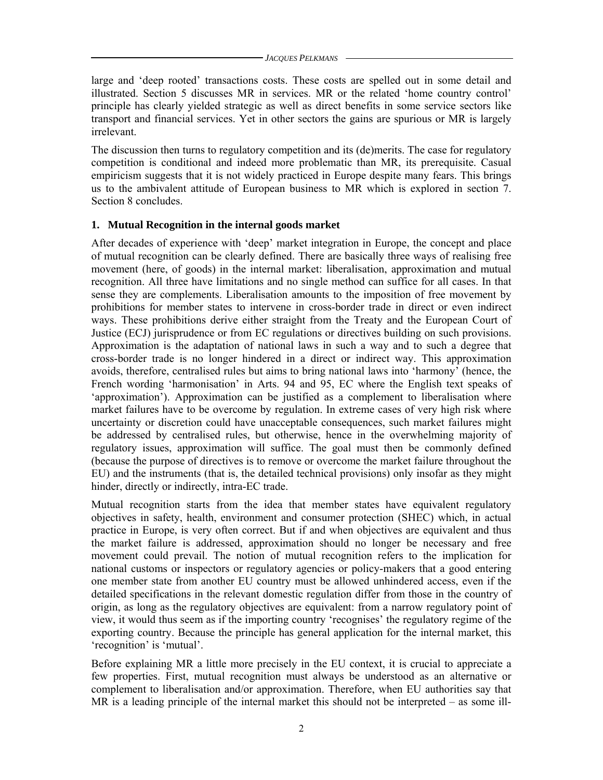large and 'deep rooted' transactions costs. These costs are spelled out in some detail and illustrated. Section 5 discusses MR in services. MR or the related 'home country control' principle has clearly yielded strategic as well as direct benefits in some service sectors like transport and financial services. Yet in other sectors the gains are spurious or MR is largely irrelevant.

The discussion then turns to regulatory competition and its (de)merits. The case for regulatory competition is conditional and indeed more problematic than MR, its prerequisite. Casual empiricism suggests that it is not widely practiced in Europe despite many fears. This brings us to the ambivalent attitude of European business to MR which is explored in section 7. Section 8 concludes.

#### **1. Mutual Recognition in the internal goods market**

After decades of experience with 'deep' market integration in Europe, the concept and place of mutual recognition can be clearly defined. There are basically three ways of realising free movement (here, of goods) in the internal market: liberalisation, approximation and mutual recognition. All three have limitations and no single method can suffice for all cases. In that sense they are complements. Liberalisation amounts to the imposition of free movement by prohibitions for member states to intervene in cross-border trade in direct or even indirect ways. These prohibitions derive either straight from the Treaty and the European Court of Justice (ECJ) jurisprudence or from EC regulations or directives building on such provisions. Approximation is the adaptation of national laws in such a way and to such a degree that cross-border trade is no longer hindered in a direct or indirect way. This approximation avoids, therefore, centralised rules but aims to bring national laws into 'harmony' (hence, the French wording 'harmonisation' in Arts. 94 and 95, EC where the English text speaks of 'approximation'). Approximation can be justified as a complement to liberalisation where market failures have to be overcome by regulation. In extreme cases of very high risk where uncertainty or discretion could have unacceptable consequences, such market failures might be addressed by centralised rules, but otherwise, hence in the overwhelming majority of regulatory issues, approximation will suffice. The goal must then be commonly defined (because the purpose of directives is to remove or overcome the market failure throughout the EU) and the instruments (that is, the detailed technical provisions) only insofar as they might hinder, directly or indirectly, intra-EC trade.

Mutual recognition starts from the idea that member states have equivalent regulatory objectives in safety, health, environment and consumer protection (SHEC) which, in actual practice in Europe, is very often correct. But if and when objectives are equivalent and thus the market failure is addressed, approximation should no longer be necessary and free movement could prevail. The notion of mutual recognition refers to the implication for national customs or inspectors or regulatory agencies or policy-makers that a good entering one member state from another EU country must be allowed unhindered access, even if the detailed specifications in the relevant domestic regulation differ from those in the country of origin, as long as the regulatory objectives are equivalent: from a narrow regulatory point of view, it would thus seem as if the importing country 'recognises' the regulatory regime of the exporting country. Because the principle has general application for the internal market, this 'recognition' is 'mutual'.

Before explaining MR a little more precisely in the EU context, it is crucial to appreciate a few properties. First, mutual recognition must always be understood as an alternative or complement to liberalisation and/or approximation. Therefore, when EU authorities say that MR is a leading principle of the internal market this should not be interpreted – as some ill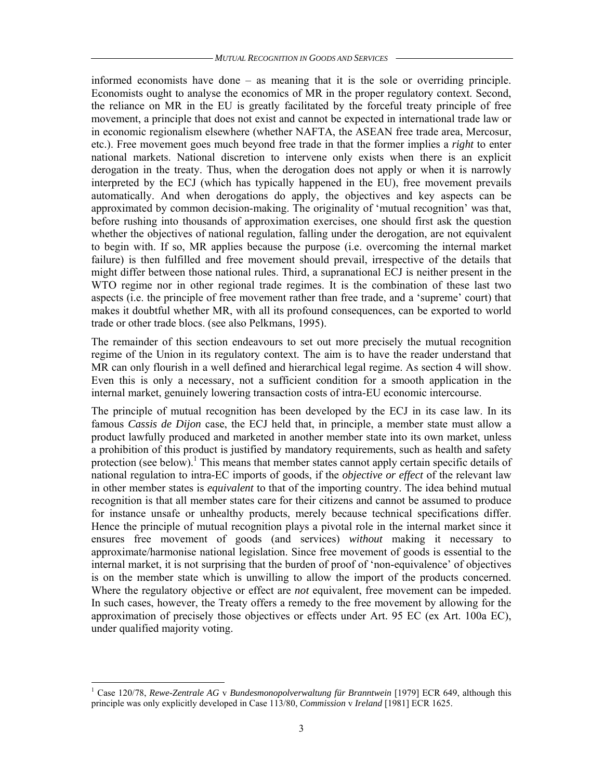informed economists have done – as meaning that it is the sole or overriding principle. Economists ought to analyse the economics of MR in the proper regulatory context. Second, the reliance on MR in the EU is greatly facilitated by the forceful treaty principle of free movement, a principle that does not exist and cannot be expected in international trade law or in economic regionalism elsewhere (whether NAFTA, the ASEAN free trade area, Mercosur, etc.). Free movement goes much beyond free trade in that the former implies a *right* to enter national markets. National discretion to intervene only exists when there is an explicit derogation in the treaty. Thus, when the derogation does not apply or when it is narrowly interpreted by the ECJ (which has typically happened in the EU), free movement prevails automatically. And when derogations do apply, the objectives and key aspects can be approximated by common decision-making. The originality of 'mutual recognition' was that, before rushing into thousands of approximation exercises, one should first ask the question whether the objectives of national regulation, falling under the derogation, are not equivalent to begin with. If so, MR applies because the purpose (i.e. overcoming the internal market failure) is then fulfilled and free movement should prevail, irrespective of the details that might differ between those national rules. Third, a supranational ECJ is neither present in the WTO regime nor in other regional trade regimes. It is the combination of these last two aspects (i.e. the principle of free movement rather than free trade, and a 'supreme' court) that makes it doubtful whether MR, with all its profound consequences, can be exported to world trade or other trade blocs. (see also Pelkmans, 1995).

The remainder of this section endeavours to set out more precisely the mutual recognition regime of the Union in its regulatory context. The aim is to have the reader understand that MR can only flourish in a well defined and hierarchical legal regime. As section 4 will show. Even this is only a necessary, not a sufficient condition for a smooth application in the internal market, genuinely lowering transaction costs of intra-EU economic intercourse.

The principle of mutual recognition has been developed by the ECJ in its case law. In its famous *Cassis de Dijon* case, the ECJ held that, in principle, a member state must allow a product lawfully produced and marketed in another member state into its own market, unless a prohibition of this product is justified by mandatory requirements, such as health and safety protection (see below).<sup>1</sup> This means that member states cannot apply certain specific details of national regulation to intra-EC imports of goods, if the *objective or effect* of the relevant law in other member states is *equivalent* to that of the importing country. The idea behind mutual recognition is that all member states care for their citizens and cannot be assumed to produce for instance unsafe or unhealthy products, merely because technical specifications differ. Hence the principle of mutual recognition plays a pivotal role in the internal market since it ensures free movement of goods (and services) *without* making it necessary to approximate/harmonise national legislation. Since free movement of goods is essential to the internal market, it is not surprising that the burden of proof of 'non-equivalence' of objectives is on the member state which is unwilling to allow the import of the products concerned. Where the regulatory objective or effect are *not* equivalent, free movement can be impeded. In such cases, however, the Treaty offers a remedy to the free movement by allowing for the approximation of precisely those objectives or effects under Art. 95 EC (ex Art. 100a EC), under qualified majority voting.

 $\overline{a}$ <sup>1</sup> Case 120/78, *Rewe-Zentrale AG v Bundesmonopolverwaltung für Branntwein* [1979] ECR 649, although this principle was only explicitly developed in Case 113/80, *Commission* v *Ireland* [1981] ECR 1625.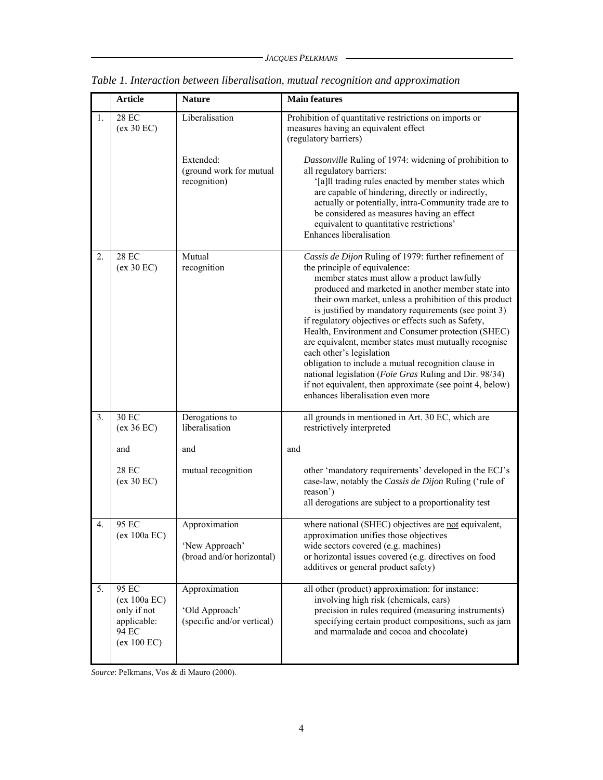|                  | <b>Article</b>                                                              | <b>Nature</b>                                                 | <b>Main features</b>                                                                                                                                                                                                                                                                                                                                                                                                                                                                                                                                                                                                                                                                                                               |  |
|------------------|-----------------------------------------------------------------------------|---------------------------------------------------------------|------------------------------------------------------------------------------------------------------------------------------------------------------------------------------------------------------------------------------------------------------------------------------------------------------------------------------------------------------------------------------------------------------------------------------------------------------------------------------------------------------------------------------------------------------------------------------------------------------------------------------------------------------------------------------------------------------------------------------------|--|
| 1.               | <b>28 EC</b><br>(ex 30 EC)                                                  | Liberalisation                                                | Prohibition of quantitative restrictions on imports or<br>measures having an equivalent effect<br>(regulatory barriers)                                                                                                                                                                                                                                                                                                                                                                                                                                                                                                                                                                                                            |  |
|                  |                                                                             | Extended:<br>(ground work for mutual<br>recognition)          | Dassonville Ruling of 1974: widening of prohibition to<br>all regulatory barriers:<br>'[a]ll trading rules enacted by member states which<br>are capable of hindering, directly or indirectly,<br>actually or potentially, intra-Community trade are to<br>be considered as measures having an effect<br>equivalent to quantitative restrictions'<br><b>Enhances</b> liberalisation                                                                                                                                                                                                                                                                                                                                                |  |
| 2.               | <b>28 EC</b><br>(ex 30 EC)                                                  | Mutual<br>recognition                                         | Cassis de Dijon Ruling of 1979: further refinement of<br>the principle of equivalence:<br>member states must allow a product lawfully<br>produced and marketed in another member state into<br>their own market, unless a prohibition of this product<br>is justified by mandatory requirements (see point 3)<br>if regulatory objectives or effects such as Safety,<br>Health, Environment and Consumer protection (SHEC)<br>are equivalent, member states must mutually recognise<br>each other's legislation<br>obligation to include a mutual recognition clause in<br>national legislation (Foie Gras Ruling and Dir. 98/34)<br>if not equivalent, then approximate (see point 4, below)<br>enhances liberalisation even more |  |
| 3.               | 30 EC<br>(ex 36 EC)                                                         | Derogations to<br>liberalisation                              | all grounds in mentioned in Art. 30 EC, which are<br>restrictively interpreted                                                                                                                                                                                                                                                                                                                                                                                                                                                                                                                                                                                                                                                     |  |
|                  | and                                                                         | and                                                           | and                                                                                                                                                                                                                                                                                                                                                                                                                                                                                                                                                                                                                                                                                                                                |  |
|                  | 28 EC<br>(ex 30 EC)                                                         | mutual recognition                                            | other 'mandatory requirements' developed in the ECJ's<br>case-law, notably the Cassis de Dijon Ruling ('rule of<br>reason')<br>all derogations are subject to a proportionality test                                                                                                                                                                                                                                                                                                                                                                                                                                                                                                                                               |  |
| $\overline{4}$ . | 95 EC<br>(ex 100a EC)                                                       | Approximation<br>'New Approach'<br>(broad and/or horizontal)  | where national (SHEC) objectives are not equivalent,<br>approximation unifies those objectives<br>wide sectors covered (e.g. machines)<br>or horizontal issues covered (e.g. directives on food<br>additives or general product safety)                                                                                                                                                                                                                                                                                                                                                                                                                                                                                            |  |
| 5.               | 95 EC<br>(ex 100a EC)<br>only if not<br>applicable:<br>94 EC<br>(ex 100 EC) | Approximation<br>'Old Approach'<br>(specific and/or vertical) | all other (product) approximation: for instance:<br>involving high risk (chemicals, cars)<br>precision in rules required (measuring instruments)<br>specifying certain product compositions, such as jam<br>and marmalade and cocoa and chocolate)                                                                                                                                                                                                                                                                                                                                                                                                                                                                                 |  |

*Table 1. Interaction between liberalisation, mutual recognition and approximation* 

*Source*: Pelkmans, Vos & di Mauro (2000).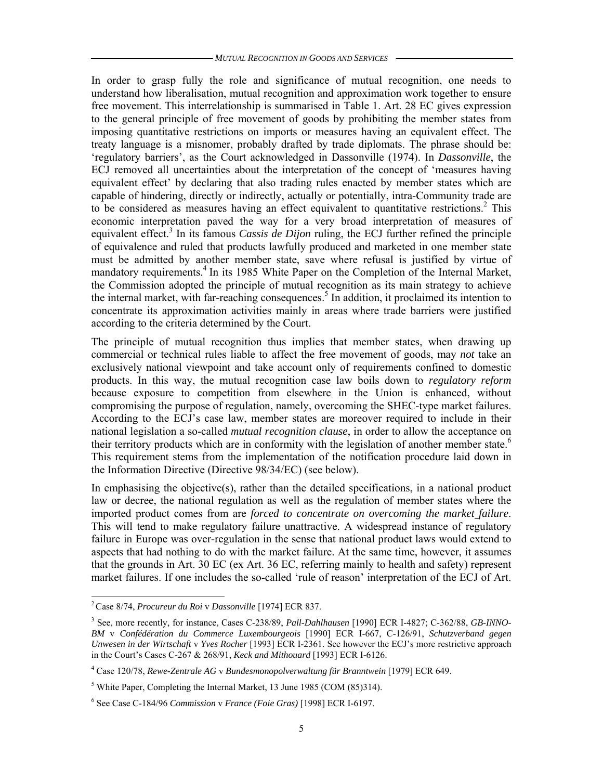In order to grasp fully the role and significance of mutual recognition, one needs to understand how liberalisation, mutual recognition and approximation work together to ensure free movement. This interrelationship is summarised in Table 1. Art. 28 EC gives expression to the general principle of free movement of goods by prohibiting the member states from imposing quantitative restrictions on imports or measures having an equivalent effect. The treaty language is a misnomer, probably drafted by trade diplomats. The phrase should be: 'regulatory barriers', as the Court acknowledged in Dassonville (1974). In *Dassonville*, the ECJ removed all uncertainties about the interpretation of the concept of 'measures having equivalent effect' by declaring that also trading rules enacted by member states which are capable of hindering, directly or indirectly, actually or potentially, intra-Community trade are to be considered as measures having an effect equivalent to quantitative restrictions.<sup>2</sup> This economic interpretation paved the way for a very broad interpretation of measures of equivalent effect.<sup>3</sup> In its famous *Cassis de Dijon* ruling, the ECJ further refined the principle of equivalence and ruled that products lawfully produced and marketed in one member state must be admitted by another member state, save where refusal is justified by virtue of mandatory requirements.<sup>4</sup> In its 1985 White Paper on the Completion of the Internal Market, the Commission adopted the principle of mutual recognition as its main strategy to achieve the internal market, with far-reaching consequences.<sup>5</sup> In addition, it proclaimed its intention to concentrate its approximation activities mainly in areas where trade barriers were justified according to the criteria determined by the Court.

The principle of mutual recognition thus implies that member states, when drawing up commercial or technical rules liable to affect the free movement of goods, may *not* take an exclusively national viewpoint and take account only of requirements confined to domestic products. In this way, the mutual recognition case law boils down to *regulatory reform* because exposure to competition from elsewhere in the Union is enhanced, without compromising the purpose of regulation, namely, overcoming the SHEC-type market failures. According to the ECJ's case law, member states are moreover required to include in their national legislation a so-called *mutual recognition clause*, in order to allow the acceptance on their territory products which are in conformity with the legislation of another member state.<sup>6</sup> This requirement stems from the implementation of the notification procedure laid down in the Information Directive (Directive 98/34/EC) (see below).

In emphasising the objective(s), rather than the detailed specifications, in a national product law or decree, the national regulation as well as the regulation of member states where the imported product comes from are *forced to concentrate on overcoming the market failure*. This will tend to make regulatory failure unattractive. A widespread instance of regulatory failure in Europe was over-regulation in the sense that national product laws would extend to aspects that had nothing to do with the market failure. At the same time, however, it assumes that the grounds in Art. 30 EC (ex Art. 36 EC, referring mainly to health and safety) represent market failures. If one includes the so-called 'rule of reason' interpretation of the ECJ of Art.

<sup>2</sup> Case 8/74, *Procureur du Roi* v *Dassonville* [1974] ECR 837.

<sup>3</sup> See, more recently, for instance, Cases C-238/89, *Pall-Dahlhausen* [1990] ECR I-4827; C-362/88, *GB-INNO-BM* v *Confédération du Commerce Luxembourgeois* [1990] ECR I-667, C-126/91, *Schutzverband gegen Unwesen in der Wirtschaft* v *Yves Rocher* [1993] ECR I-2361. See however the ECJ's more restrictive approach in the Court's Cases C-267 & 268/91, *Keck and Mithouard* [1993] ECR I-6126.

<sup>4</sup> Case 120/78, *Rewe-Zentrale AG* v *Bundesmonopolverwaltung für Branntwein* [1979] ECR 649.

<sup>&</sup>lt;sup>5</sup> White Paper, Completing the Internal Market, 13 June 1985 (COM  $(85)314$ ).

<sup>6</sup> See Case C-184/96 *Commission* v *France (Foie Gras)* [1998] ECR I-6197.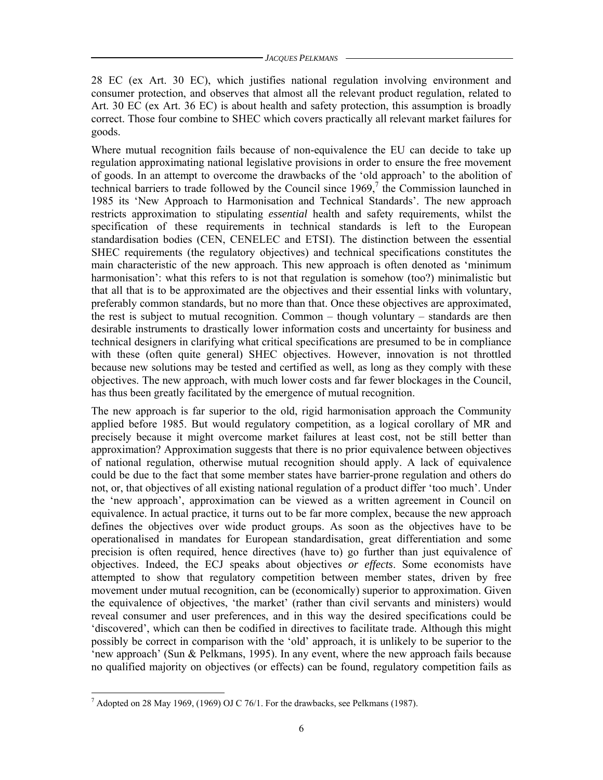28 EC (ex Art. 30 EC), which justifies national regulation involving environment and consumer protection, and observes that almost all the relevant product regulation, related to Art. 30 EC (ex Art. 36 EC) is about health and safety protection, this assumption is broadly correct. Those four combine to SHEC which covers practically all relevant market failures for goods.

Where mutual recognition fails because of non-equivalence the EU can decide to take up regulation approximating national legislative provisions in order to ensure the free movement of goods. In an attempt to overcome the drawbacks of the 'old approach' to the abolition of technical barriers to trade followed by the Council since  $1969$ ,  $\frac{1}{10}$  the Commission launched in 1985 its 'New Approach to Harmonisation and Technical Standards'. The new approach restricts approximation to stipulating *essential* health and safety requirements, whilst the specification of these requirements in technical standards is left to the European standardisation bodies (CEN, CENELEC and ETSI). The distinction between the essential SHEC requirements (the regulatory objectives) and technical specifications constitutes the main characteristic of the new approach. This new approach is often denoted as 'minimum harmonisation': what this refers to is not that regulation is somehow (too?) minimalistic but that all that is to be approximated are the objectives and their essential links with voluntary, preferably common standards, but no more than that. Once these objectives are approximated, the rest is subject to mutual recognition. Common – though voluntary – standards are then desirable instruments to drastically lower information costs and uncertainty for business and technical designers in clarifying what critical specifications are presumed to be in compliance with these (often quite general) SHEC objectives. However, innovation is not throttled because new solutions may be tested and certified as well, as long as they comply with these objectives. The new approach, with much lower costs and far fewer blockages in the Council, has thus been greatly facilitated by the emergence of mutual recognition.

The new approach is far superior to the old, rigid harmonisation approach the Community applied before 1985. But would regulatory competition, as a logical corollary of MR and precisely because it might overcome market failures at least cost, not be still better than approximation? Approximation suggests that there is no prior equivalence between objectives of national regulation, otherwise mutual recognition should apply. A lack of equivalence could be due to the fact that some member states have barrier-prone regulation and others do not, or, that objectives of all existing national regulation of a product differ 'too much'. Under the 'new approach', approximation can be viewed as a written agreement in Council on equivalence. In actual practice, it turns out to be far more complex, because the new approach defines the objectives over wide product groups. As soon as the objectives have to be operationalised in mandates for European standardisation, great differentiation and some precision is often required, hence directives (have to) go further than just equivalence of objectives. Indeed, the ECJ speaks about objectives *or effects*. Some economists have attempted to show that regulatory competition between member states, driven by free movement under mutual recognition, can be (economically) superior to approximation. Given the equivalence of objectives, 'the market' (rather than civil servants and ministers) would reveal consumer and user preferences, and in this way the desired specifications could be 'discovered', which can then be codified in directives to facilitate trade. Although this might possibly be correct in comparison with the 'old' approach, it is unlikely to be superior to the 'new approach' (Sun & Pelkmans, 1995). In any event, where the new approach fails because no qualified majority on objectives (or effects) can be found, regulatory competition fails as

<sup>&</sup>lt;sup>7</sup> Adopted on 28 May 1969, (1969) OJ C 76/1. For the drawbacks, see Pelkmans (1987).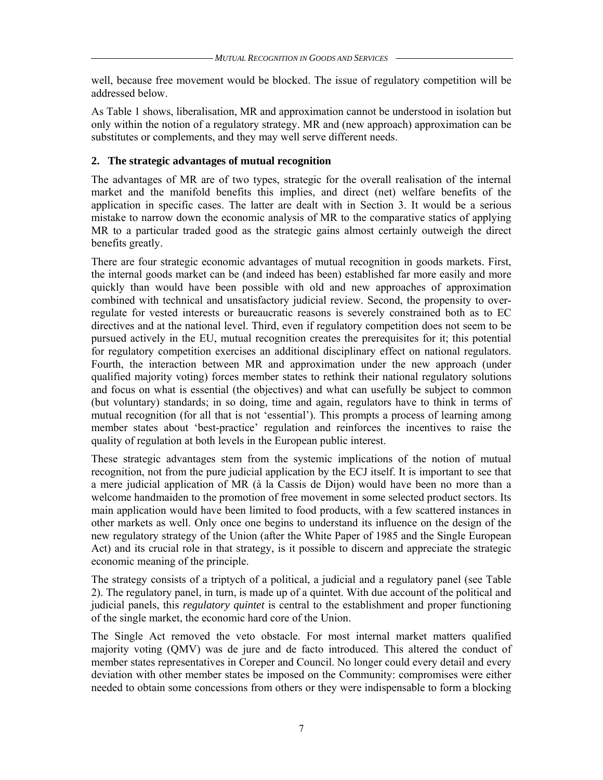well, because free movement would be blocked. The issue of regulatory competition will be addressed below.

As Table 1 shows, liberalisation, MR and approximation cannot be understood in isolation but only within the notion of a regulatory strategy. MR and (new approach) approximation can be substitutes or complements, and they may well serve different needs.

#### **2. The strategic advantages of mutual recognition**

The advantages of MR are of two types, strategic for the overall realisation of the internal market and the manifold benefits this implies, and direct (net) welfare benefits of the application in specific cases. The latter are dealt with in Section 3. It would be a serious mistake to narrow down the economic analysis of MR to the comparative statics of applying MR to a particular traded good as the strategic gains almost certainly outweigh the direct benefits greatly.

There are four strategic economic advantages of mutual recognition in goods markets. First, the internal goods market can be (and indeed has been) established far more easily and more quickly than would have been possible with old and new approaches of approximation combined with technical and unsatisfactory judicial review. Second, the propensity to overregulate for vested interests or bureaucratic reasons is severely constrained both as to EC directives and at the national level. Third, even if regulatory competition does not seem to be pursued actively in the EU, mutual recognition creates the prerequisites for it; this potential for regulatory competition exercises an additional disciplinary effect on national regulators. Fourth, the interaction between MR and approximation under the new approach (under qualified majority voting) forces member states to rethink their national regulatory solutions and focus on what is essential (the objectives) and what can usefully be subject to common (but voluntary) standards; in so doing, time and again, regulators have to think in terms of mutual recognition (for all that is not 'essential'). This prompts a process of learning among member states about 'best-practice' regulation and reinforces the incentives to raise the quality of regulation at both levels in the European public interest.

These strategic advantages stem from the systemic implications of the notion of mutual recognition, not from the pure judicial application by the ECJ itself. It is important to see that a mere judicial application of MR (à la Cassis de Dijon) would have been no more than a welcome handmaiden to the promotion of free movement in some selected product sectors. Its main application would have been limited to food products, with a few scattered instances in other markets as well. Only once one begins to understand its influence on the design of the new regulatory strategy of the Union (after the White Paper of 1985 and the Single European Act) and its crucial role in that strategy, is it possible to discern and appreciate the strategic economic meaning of the principle.

The strategy consists of a triptych of a political, a judicial and a regulatory panel (see Table 2). The regulatory panel, in turn, is made up of a quintet. With due account of the political and judicial panels, this *regulatory quintet* is central to the establishment and proper functioning of the single market, the economic hard core of the Union.

The Single Act removed the veto obstacle. For most internal market matters qualified majority voting (QMV) was de jure and de facto introduced. This altered the conduct of member states representatives in Coreper and Council. No longer could every detail and every deviation with other member states be imposed on the Community: compromises were either needed to obtain some concessions from others or they were indispensable to form a blocking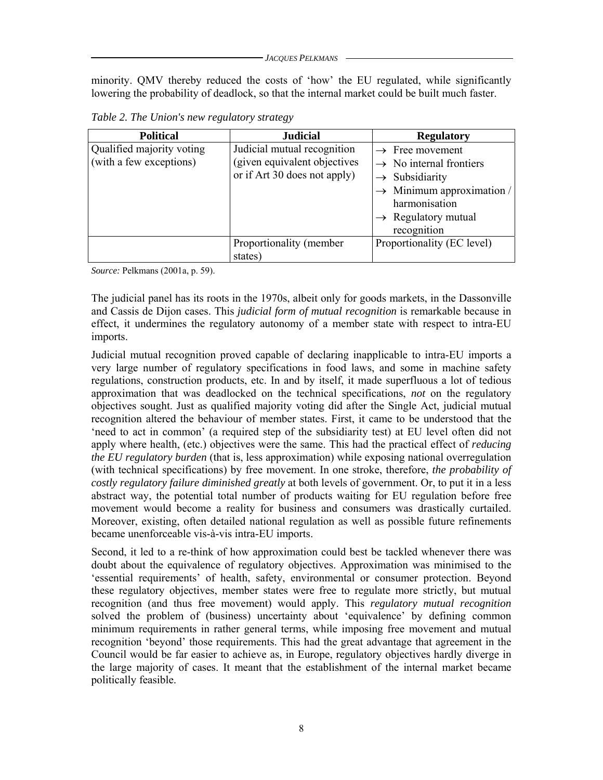minority. QMV thereby reduced the costs of 'how' the EU regulated, while significantly lowering the probability of deadlock, so that the internal market could be built much faster.

| <b>Political</b>          | <b>Judicial</b>                                              | <b>Regulatory</b>                     |  |
|---------------------------|--------------------------------------------------------------|---------------------------------------|--|
| Qualified majority voting | Judicial mutual recognition                                  | $\rightarrow$ Free movement           |  |
| (with a few exceptions)   | (given equivalent objectives<br>or if Art 30 does not apply) | $\rightarrow$ No internal frontiers   |  |
|                           |                                                              | $\rightarrow$ Subsidiarity            |  |
|                           |                                                              | $\rightarrow$ Minimum approximation / |  |
|                           |                                                              | harmonisation                         |  |
|                           |                                                              | Regulatory mutual                     |  |
|                           |                                                              | recognition                           |  |
|                           | Proportionality (member                                      | Proportionality (EC level)            |  |
|                           | states)                                                      |                                       |  |

*Table 2. The Union's new regulatory strategy* 

*Source:* Pelkmans (2001a, p. 59).

The judicial panel has its roots in the 1970s, albeit only for goods markets, in the Dassonville and Cassis de Dijon cases. This *judicial form of mutual recognition* is remarkable because in effect, it undermines the regulatory autonomy of a member state with respect to intra-EU imports.

Judicial mutual recognition proved capable of declaring inapplicable to intra-EU imports a very large number of regulatory specifications in food laws, and some in machine safety regulations, construction products, etc. In and by itself, it made superfluous a lot of tedious approximation that was deadlocked on the technical specifications, *not* on the regulatory objectives sought. Just as qualified majority voting did after the Single Act, judicial mutual recognition altered the behaviour of member states. First, it came to be understood that the 'need to act in common' (a required step of the subsidiarity test) at EU level often did not apply where health, (etc.) objectives were the same. This had the practical effect of *reducing the EU regulatory burden* (that is, less approximation) while exposing national overregulation (with technical specifications) by free movement. In one stroke, therefore, *the probability of costly regulatory failure diminished greatly* at both levels of government. Or, to put it in a less abstract way, the potential total number of products waiting for EU regulation before free movement would become a reality for business and consumers was drastically curtailed. Moreover, existing, often detailed national regulation as well as possible future refinements became unenforceable vis-à-vis intra-EU imports.

Second, it led to a re-think of how approximation could best be tackled whenever there was doubt about the equivalence of regulatory objectives. Approximation was minimised to the 'essential requirements' of health, safety, environmental or consumer protection. Beyond these regulatory objectives, member states were free to regulate more strictly, but mutual recognition (and thus free movement) would apply. This *regulatory mutual recognition* solved the problem of (business) uncertainty about 'equivalence' by defining common minimum requirements in rather general terms, while imposing free movement and mutual recognition 'beyond' those requirements. This had the great advantage that agreement in the Council would be far easier to achieve as, in Europe, regulatory objectives hardly diverge in the large majority of cases. It meant that the establishment of the internal market became politically feasible.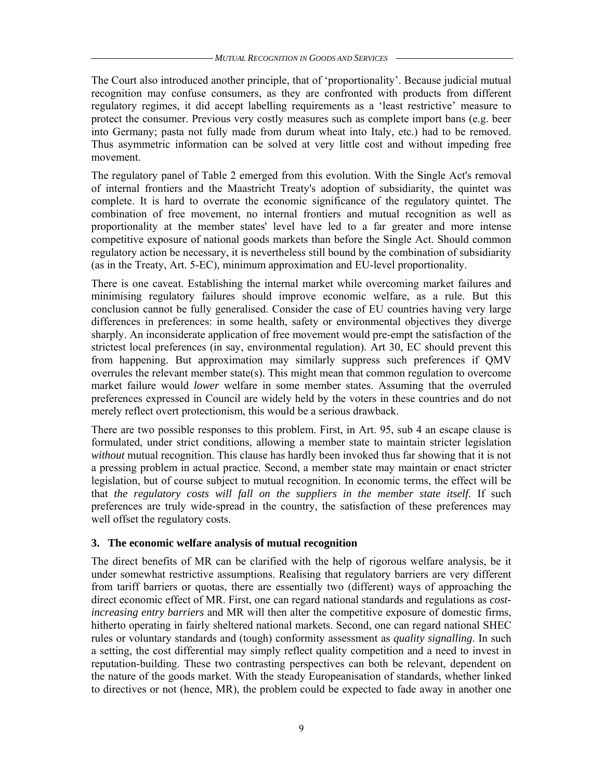The Court also introduced another principle, that of 'proportionality'. Because judicial mutual recognition may confuse consumers, as they are confronted with products from different regulatory regimes, it did accept labelling requirements as a 'least restrictive' measure to protect the consumer. Previous very costly measures such as complete import bans (e.g. beer into Germany; pasta not fully made from durum wheat into Italy, etc.) had to be removed. Thus asymmetric information can be solved at very little cost and without impeding free movement.

The regulatory panel of Table 2 emerged from this evolution. With the Single Act's removal of internal frontiers and the Maastricht Treaty's adoption of subsidiarity, the quintet was complete. It is hard to overrate the economic significance of the regulatory quintet. The combination of free movement, no internal frontiers and mutual recognition as well as proportionality at the member states' level have led to a far greater and more intense competitive exposure of national goods markets than before the Single Act. Should common regulatory action be necessary, it is nevertheless still bound by the combination of subsidiarity (as in the Treaty, Art. 5-EC), minimum approximation and EU-level proportionality.

There is one caveat. Establishing the internal market while overcoming market failures and minimising regulatory failures should improve economic welfare, as a rule. But this conclusion cannot be fully generalised. Consider the case of EU countries having very large differences in preferences: in some health, safety or environmental objectives they diverge sharply. An inconsiderate application of free movement would pre-empt the satisfaction of the strictest local preferences (in say, environmental regulation). Art 30, EC should prevent this from happening. But approximation may similarly suppress such preferences if QMV overrules the relevant member state(s). This might mean that common regulation to overcome market failure would *lower* welfare in some member states. Assuming that the overruled preferences expressed in Council are widely held by the voters in these countries and do not merely reflect overt protectionism, this would be a serious drawback.

There are two possible responses to this problem. First, in Art. 95, sub 4 an escape clause is formulated, under strict conditions, allowing a member state to maintain stricter legislation *without* mutual recognition. This clause has hardly been invoked thus far showing that it is not a pressing problem in actual practice. Second, a member state may maintain or enact stricter legislation, but of course subject to mutual recognition. In economic terms, the effect will be that *the regulatory costs will fall on the suppliers in the member state itself*. If such preferences are truly wide-spread in the country, the satisfaction of these preferences may well offset the regulatory costs.

#### **3. The economic welfare analysis of mutual recognition**

The direct benefits of MR can be clarified with the help of rigorous welfare analysis, be it under somewhat restrictive assumptions. Realising that regulatory barriers are very different from tariff barriers or quotas, there are essentially two (different) ways of approaching the direct economic effect of MR. First, one can regard national standards and regulations as *costincreasing entry barriers* and MR will then alter the competitive exposure of domestic firms, hitherto operating in fairly sheltered national markets. Second, one can regard national SHEC rules or voluntary standards and (tough) conformity assessment as *quality signalling*. In such a setting, the cost differential may simply reflect quality competition and a need to invest in reputation-building. These two contrasting perspectives can both be relevant, dependent on the nature of the goods market. With the steady Europeanisation of standards, whether linked to directives or not (hence, MR), the problem could be expected to fade away in another one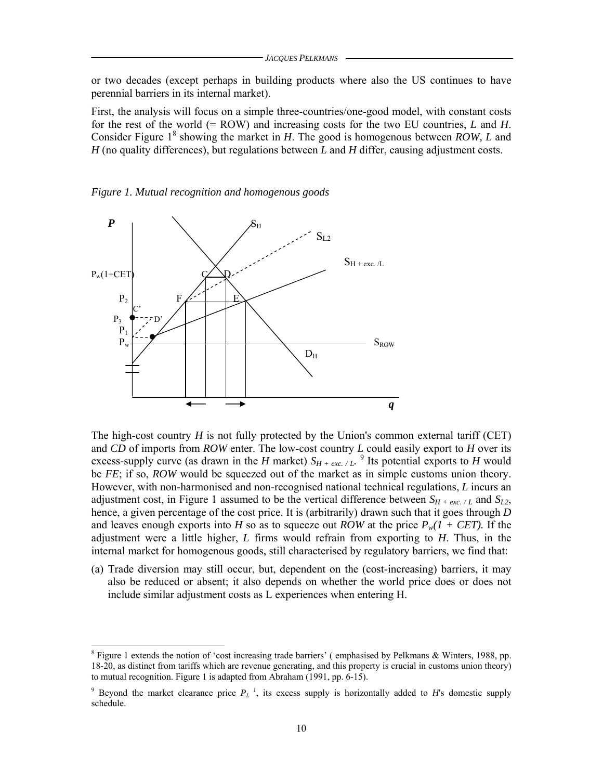or two decades (except perhaps in building products where also the US continues to have perennial barriers in its internal market).

First, the analysis will focus on a simple three-countries/one-good model, with constant costs for the rest of the world (= ROW) and increasing costs for the two EU countries, *L* and *H*. Consider Figure  $1^8$  showing the market in *H*. The good is homogenous between *ROW*, *L* and *H* (no quality differences), but regulations between *L* and *H* differ, causing adjustment costs.



 $\overline{a}$ 



The high-cost country  $H$  is not fully protected by the Union's common external tariff (CET) and *CD* of imports from *ROW* enter. The low-cost country *L* could easily export to *H* over its excess-supply curve (as drawn in the *H* market)  $S_{H + exc}/L$ <sup>9</sup> Its potential exports to *H* would be *FE*; if so, *ROW* would be squeezed out of the market as in simple customs union theory. However, with non-harmonised and non-recognised national technical regulations, *L* incurs an adjustment cost, in Figure 1 assumed to be the vertical difference between  $S_{H + exc./L}$  and  $S_{L2}$ , hence, a given percentage of the cost price. It is (arbitrarily) drawn such that it goes through *D* and leaves enough exports into *H* so as to squeeze out *ROW* at the price  $P_w(1 + CET)$ . If the adjustment were a little higher, *L* firms would refrain from exporting to *H*. Thus, in the internal market for homogenous goods, still characterised by regulatory barriers, we find that:

(a) Trade diversion may still occur, but, dependent on the (cost-increasing) barriers, it may also be reduced or absent; it also depends on whether the world price does or does not include similar adjustment costs as L experiences when entering H.

<sup>&</sup>lt;sup>8</sup> Figure 1 extends the notion of 'cost increasing trade barriers' (emphasised by Pelkmans & Winters, 1988, pp. 18-20, as distinct from tariffs which are revenue generating, and this property is crucial in customs union theory) to mutual recognition. Figure 1 is adapted from Abraham (1991, pp. 6-15).

<sup>&</sup>lt;sup>9</sup> Beyond the market clearance price  $P_L$ <sup>1</sup>, its excess supply is horizontally added to *H*'s domestic supply schedule.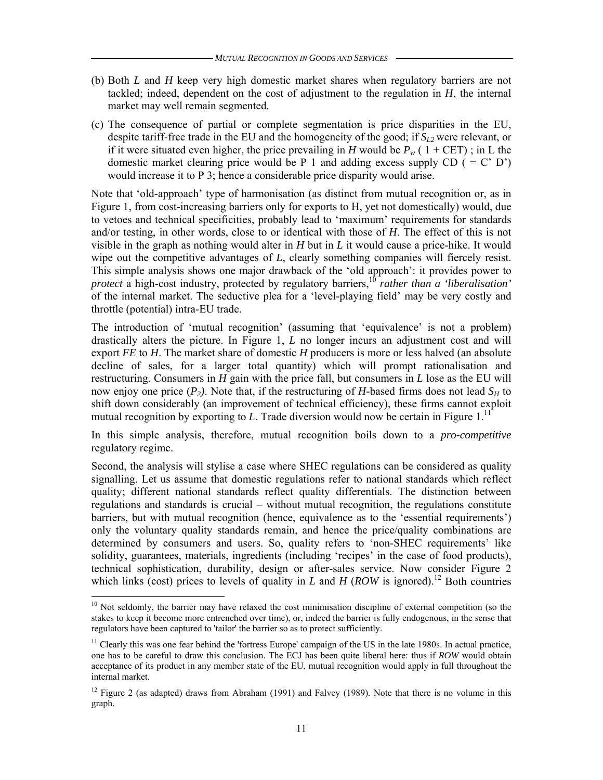- (b) Both *L* and *H* keep very high domestic market shares when regulatory barriers are not tackled; indeed, dependent on the cost of adjustment to the regulation in *H*, the internal market may well remain segmented.
- (c) The consequence of partial or complete segmentation is price disparities in the EU, despite tariff-free trade in the EU and the homogeneity of the good; if  $S_{L2}$  were relevant, or if it were situated even higher, the price prevailing in *H* would be  $P_w$  (1+CET); in L the domestic market clearing price would be P 1 and adding excess supply  $CD$  ( =  $C$ ' D') would increase it to P 3; hence a considerable price disparity would arise.

Note that 'old-approach' type of harmonisation (as distinct from mutual recognition or, as in Figure 1, from cost-increasing barriers only for exports to H, yet not domestically) would, due to vetoes and technical specificities, probably lead to 'maximum' requirements for standards and/or testing, in other words, close to or identical with those of *H*. The effect of this is not visible in the graph as nothing would alter in *H* but in *L* it would cause a price-hike. It would wipe out the competitive advantages of L, clearly something companies will fiercely resist. This simple analysis shows one major drawback of the 'old approach': it provides power to *protect* a high-cost industry, protected by regulatory barriers,<sup>10</sup> *rather than a 'liberalisation'* of the internal market. The seductive plea for a 'level-playing field' may be very costly and throttle (potential) intra-EU trade.

The introduction of 'mutual recognition' (assuming that 'equivalence' is not a problem) drastically alters the picture. In Figure 1, *L* no longer incurs an adjustment cost and will export *FE* to *H*. The market share of domestic *H* producers is more or less halved (an absolute decline of sales, for a larger total quantity) which will prompt rationalisation and restructuring. Consumers in *H* gain with the price fall, but consumers in *L* lose as the EU will now enjoy one price  $(P_2)$ . Note that, if the restructuring of *H*-based firms does not lead  $S_H$  to shift down considerably (an improvement of technical efficiency), these firms cannot exploit mutual recognition by exporting to  $L$ . Trade diversion would now be certain in Figure  $1$ .<sup>11</sup>

In this simple analysis, therefore, mutual recognition boils down to a *pro-competitive* regulatory regime.

Second, the analysis will stylise a case where SHEC regulations can be considered as quality signalling. Let us assume that domestic regulations refer to national standards which reflect quality; different national standards reflect quality differentials. The distinction between regulations and standards is crucial – without mutual recognition, the regulations constitute barriers, but with mutual recognition (hence, equivalence as to the 'essential requirements') only the voluntary quality standards remain, and hence the price/quality combinations are determined by consumers and users. So, quality refers to 'non-SHEC requirements' like solidity, guarantees, materials, ingredients (including 'recipes' in the case of food products), technical sophistication, durability, design or after-sales service. Now consider Figure 2 which links (cost) prices to levels of quality in *L* and *H* (*ROW* is ignored).<sup>12</sup> Both countries

<sup>&</sup>lt;sup>10</sup> Not seldomly, the barrier may have relaxed the cost minimisation discipline of external competition (so the stakes to keep it become more entrenched over time), or, indeed the barrier is fully endogenous, in the sense that regulators have been captured to 'tailor' the barrier so as to protect sufficiently.

<sup>&</sup>lt;sup>11</sup> Clearly this was one fear behind the 'fortress Europe' campaign of the US in the late 1980s. In actual practice, one has to be careful to draw this conclusion. The ECJ has been quite liberal here: thus if *ROW* would obtain acceptance of its product in any member state of the EU, mutual recognition would apply in full throughout the internal market.

<sup>&</sup>lt;sup>12</sup> Figure 2 (as adapted) draws from Abraham (1991) and Falvey (1989). Note that there is no volume in this graph.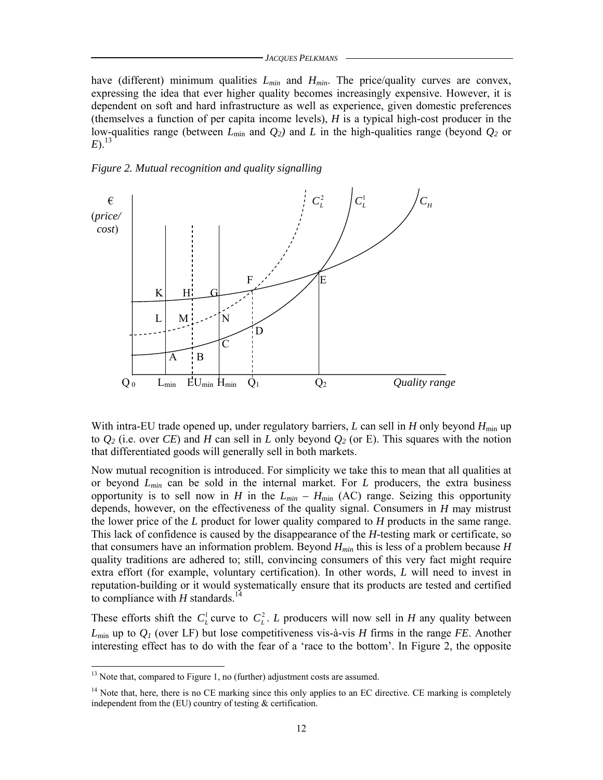have (different) minimum qualities  $L_{min}$  and  $H_{min}$ . The price/quality curves are convex, expressing the idea that ever higher quality becomes increasingly expensive. However, it is dependent on soft and hard infrastructure as well as experience, given domestic preferences (themselves a function of per capita income levels), *H* is a typical high-cost producer in the low-qualities range (between  $L_{\text{min}}$  and  $Q_2$ ) and  $L$  in the high-qualities range (beyond  $Q_2$  or  $E$ ).<sup>13</sup>

*Figure 2. Mutual recognition and quality signalling* 



With intra-EU trade opened up, under regulatory barriers, *L* can sell in *H* only beyond  $H_{\text{min}}$  up to  $Q_2$  (i.e. over *CE*) and *H* can sell in *L* only beyond  $Q_2$  (or E). This squares with the notion that differentiated goods will generally sell in both markets.

Now mutual recognition is introduced. For simplicity we take this to mean that all qualities at or beyond *Lmin* can be sold in the internal market. For *L* producers, the extra business opportunity is to sell now in *H* in the  $L_{min} - H_{min}$  (AC) range. Seizing this opportunity depends, however, on the effectiveness of the quality signal. Consumers in *H* may mistrust the lower price of the *L* product for lower quality compared to *H* products in the same range. This lack of confidence is caused by the disappearance of the *H*-testing mark or certificate, so that consumers have an information problem. Beyond *Hmin* this is less of a problem because *H* quality traditions are adhered to; still, convincing consumers of this very fact might require extra effort (for example, voluntary certification). In other words, *L* will need to invest in reputation-building or it would systematically ensure that its products are tested and certified to compliance with  $H$  standards.<sup>14</sup>

These efforts shift the  $C_L^1$  curve to  $C_L^2$ . *L* producers will now sell in *H* any quality between  $L_{\text{min}}$  up to  $Q_I$  (over LF) but lose competitiveness vis-à-vis *H* firms in the range *FE*. Another interesting effect has to do with the fear of a 'race to the bottom'. In Figure 2, the opposite

 $13$  Note that, compared to Figure 1, no (further) adjustment costs are assumed.

 $14$  Note that, here, there is no CE marking since this only applies to an EC directive. CE marking is completely independent from the (EU) country of testing & certification.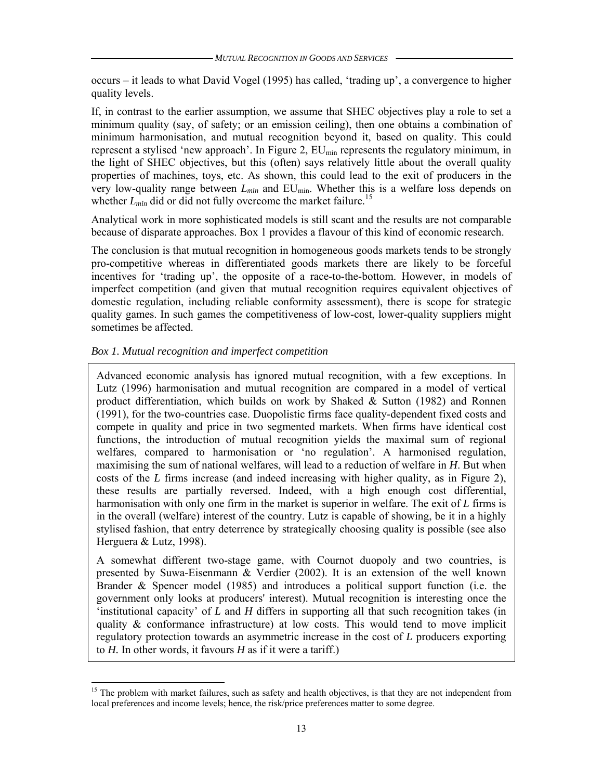occurs – it leads to what David Vogel (1995) has called, 'trading up', a convergence to higher quality levels.

If, in contrast to the earlier assumption, we assume that SHEC objectives play a role to set a minimum quality (say, of safety; or an emission ceiling), then one obtains a combination of minimum harmonisation, and mutual recognition beyond it, based on quality. This could represent a stylised 'new approach'. In Figure 2,  $EU_{min}$  represents the regulatory minimum, in the light of SHEC objectives, but this (often) says relatively little about the overall quality properties of machines, toys, etc. As shown, this could lead to the exit of producers in the very low-quality range between  $L_{min}$  and  $EU_{min}$ . Whether this is a welfare loss depends on whether  $L_{min}$  did or did not fully overcome the market failure.<sup>15</sup>

Analytical work in more sophisticated models is still scant and the results are not comparable because of disparate approaches. Box 1 provides a flavour of this kind of economic research.

The conclusion is that mutual recognition in homogeneous goods markets tends to be strongly pro-competitive whereas in differentiated goods markets there are likely to be forceful incentives for 'trading up', the opposite of a race-to-the-bottom. However, in models of imperfect competition (and given that mutual recognition requires equivalent objectives of domestic regulation, including reliable conformity assessment), there is scope for strategic quality games. In such games the competitiveness of low-cost, lower-quality suppliers might sometimes be affected.

#### *Box 1. Mutual recognition and imperfect competition*

 $\overline{a}$ 

Advanced economic analysis has ignored mutual recognition, with a few exceptions. In Lutz (1996) harmonisation and mutual recognition are compared in a model of vertical product differentiation, which builds on work by Shaked & Sutton (1982) and Ronnen (1991), for the two-countries case. Duopolistic firms face quality-dependent fixed costs and compete in quality and price in two segmented markets. When firms have identical cost functions, the introduction of mutual recognition yields the maximal sum of regional welfares, compared to harmonisation or 'no regulation'. A harmonised regulation, maximising the sum of national welfares, will lead to a reduction of welfare in *H*. But when costs of the *L* firms increase (and indeed increasing with higher quality, as in Figure 2), these results are partially reversed. Indeed, with a high enough cost differential, harmonisation with only one firm in the market is superior in welfare. The exit of *L* firms is in the overall (welfare) interest of the country. Lutz is capable of showing, be it in a highly stylised fashion, that entry deterrence by strategically choosing quality is possible (see also Herguera & Lutz, 1998).

A somewhat different two-stage game, with Cournot duopoly and two countries, is presented by Suwa-Eisenmann & Verdier (2002). It is an extension of the well known Brander & Spencer model (1985) and introduces a political support function (i.e. the government only looks at producers' interest). Mutual recognition is interesting once the 'institutional capacity' of *L* and *H* differs in supporting all that such recognition takes (in quality  $\&$  conformance infrastructure) at low costs. This would tend to move implicit regulatory protection towards an asymmetric increase in the cost of *L* producers exporting to *H.* In other words, it favours *H* as if it were a tariff.)

<sup>&</sup>lt;sup>15</sup> The problem with market failures, such as safety and health objectives, is that they are not independent from local preferences and income levels; hence, the risk/price preferences matter to some degree.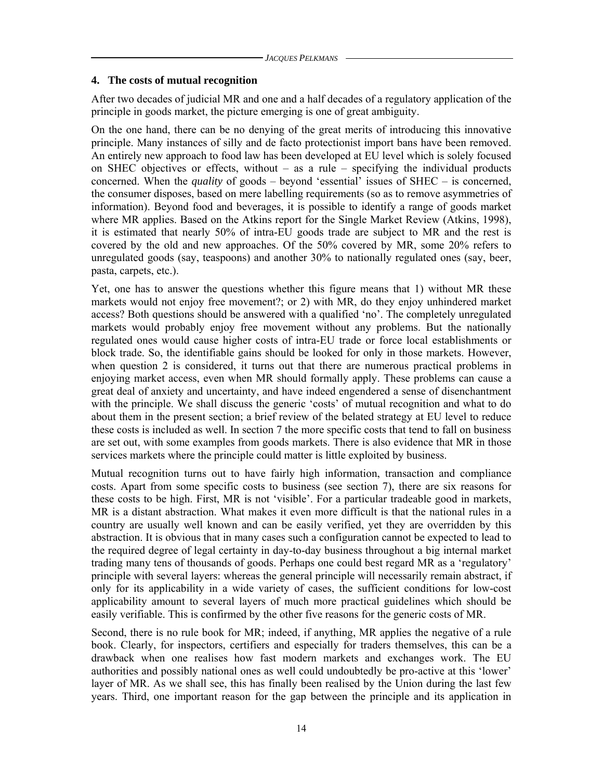#### **4. The costs of mutual recognition**

After two decades of judicial MR and one and a half decades of a regulatory application of the principle in goods market, the picture emerging is one of great ambiguity.

On the one hand, there can be no denying of the great merits of introducing this innovative principle. Many instances of silly and de facto protectionist import bans have been removed. An entirely new approach to food law has been developed at EU level which is solely focused on SHEC objectives or effects, without – as a rule – specifying the individual products concerned. When the *quality* of goods – beyond 'essential' issues of SHEC – is concerned, the consumer disposes, based on mere labelling requirements (so as to remove asymmetries of information). Beyond food and beverages, it is possible to identify a range of goods market where MR applies. Based on the Atkins report for the Single Market Review (Atkins, 1998), it is estimated that nearly 50% of intra-EU goods trade are subject to MR and the rest is covered by the old and new approaches. Of the 50% covered by MR, some 20% refers to unregulated goods (say, teaspoons) and another 30% to nationally regulated ones (say, beer, pasta, carpets, etc.).

Yet, one has to answer the questions whether this figure means that 1) without MR these markets would not enjoy free movement?; or 2) with MR, do they enjoy unhindered market access? Both questions should be answered with a qualified 'no'. The completely unregulated markets would probably enjoy free movement without any problems. But the nationally regulated ones would cause higher costs of intra-EU trade or force local establishments or block trade. So, the identifiable gains should be looked for only in those markets. However, when question 2 is considered, it turns out that there are numerous practical problems in enjoying market access, even when MR should formally apply. These problems can cause a great deal of anxiety and uncertainty, and have indeed engendered a sense of disenchantment with the principle. We shall discuss the generic 'costs' of mutual recognition and what to do about them in the present section; a brief review of the belated strategy at EU level to reduce these costs is included as well. In section 7 the more specific costs that tend to fall on business are set out, with some examples from goods markets. There is also evidence that MR in those services markets where the principle could matter is little exploited by business.

Mutual recognition turns out to have fairly high information, transaction and compliance costs. Apart from some specific costs to business (see section 7), there are six reasons for these costs to be high. First, MR is not 'visible'. For a particular tradeable good in markets, MR is a distant abstraction. What makes it even more difficult is that the national rules in a country are usually well known and can be easily verified, yet they are overridden by this abstraction. It is obvious that in many cases such a configuration cannot be expected to lead to the required degree of legal certainty in day-to-day business throughout a big internal market trading many tens of thousands of goods. Perhaps one could best regard MR as a 'regulatory' principle with several layers: whereas the general principle will necessarily remain abstract, if only for its applicability in a wide variety of cases, the sufficient conditions for low-cost applicability amount to several layers of much more practical guidelines which should be easily verifiable. This is confirmed by the other five reasons for the generic costs of MR.

Second, there is no rule book for MR; indeed, if anything, MR applies the negative of a rule book. Clearly, for inspectors, certifiers and especially for traders themselves, this can be a drawback when one realises how fast modern markets and exchanges work. The EU authorities and possibly national ones as well could undoubtedly be pro-active at this 'lower' layer of MR. As we shall see, this has finally been realised by the Union during the last few years. Third, one important reason for the gap between the principle and its application in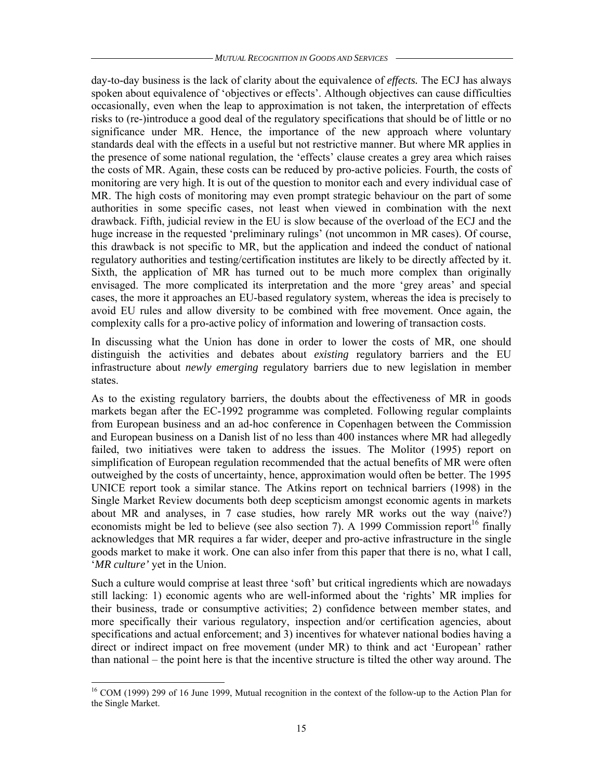day-to-day business is the lack of clarity about the equivalence of *effects.* The ECJ has always spoken about equivalence of 'objectives or effects'. Although objectives can cause difficulties occasionally, even when the leap to approximation is not taken, the interpretation of effects risks to (re-)introduce a good deal of the regulatory specifications that should be of little or no significance under MR. Hence, the importance of the new approach where voluntary standards deal with the effects in a useful but not restrictive manner. But where MR applies in the presence of some national regulation, the 'effects' clause creates a grey area which raises the costs of MR. Again, these costs can be reduced by pro-active policies. Fourth, the costs of monitoring are very high. It is out of the question to monitor each and every individual case of MR. The high costs of monitoring may even prompt strategic behaviour on the part of some authorities in some specific cases, not least when viewed in combination with the next drawback. Fifth, judicial review in the EU is slow because of the overload of the ECJ and the huge increase in the requested 'preliminary rulings' (not uncommon in MR cases). Of course, this drawback is not specific to MR, but the application and indeed the conduct of national regulatory authorities and testing/certification institutes are likely to be directly affected by it. Sixth, the application of MR has turned out to be much more complex than originally envisaged. The more complicated its interpretation and the more 'grey areas' and special cases, the more it approaches an EU-based regulatory system, whereas the idea is precisely to avoid EU rules and allow diversity to be combined with free movement. Once again, the complexity calls for a pro-active policy of information and lowering of transaction costs.

In discussing what the Union has done in order to lower the costs of MR, one should distinguish the activities and debates about *existing* regulatory barriers and the EU infrastructure about *newly emerging* regulatory barriers due to new legislation in member states.

As to the existing regulatory barriers, the doubts about the effectiveness of MR in goods markets began after the EC-1992 programme was completed. Following regular complaints from European business and an ad-hoc conference in Copenhagen between the Commission and European business on a Danish list of no less than 400 instances where MR had allegedly failed, two initiatives were taken to address the issues. The Molitor (1995) report on simplification of European regulation recommended that the actual benefits of MR were often outweighed by the costs of uncertainty, hence, approximation would often be better. The 1995 UNICE report took a similar stance. The Atkins report on technical barriers (1998) in the Single Market Review documents both deep scepticism amongst economic agents in markets about MR and analyses, in 7 case studies, how rarely MR works out the way (naive?) economists might be led to believe (see also section 7). A 1999 Commission report<sup>16</sup> finally acknowledges that MR requires a far wider, deeper and pro-active infrastructure in the single goods market to make it work. One can also infer from this paper that there is no, what I call, '*MR culture'* yet in the Union.

Such a culture would comprise at least three 'soft' but critical ingredients which are nowadays still lacking: 1) economic agents who are well-informed about the 'rights' MR implies for their business, trade or consumptive activities; 2) confidence between member states, and more specifically their various regulatory, inspection and/or certification agencies, about specifications and actual enforcement; and 3) incentives for whatever national bodies having a direct or indirect impact on free movement (under MR) to think and act 'European' rather than national – the point here is that the incentive structure is tilted the other way around. The

 $\overline{a}$ <sup>16</sup> COM (1999) 299 of 16 June 1999, Mutual recognition in the context of the follow-up to the Action Plan for the Single Market.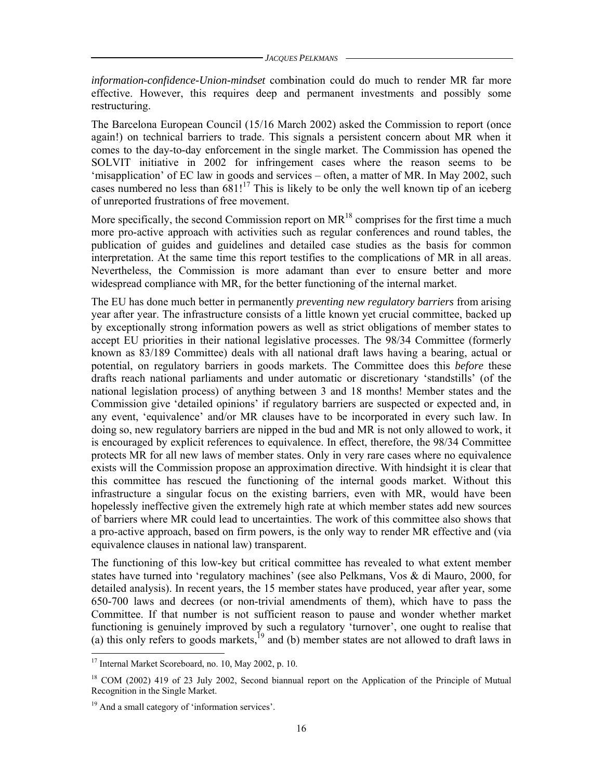*information-confidence-Union-mindset* combination could do much to render MR far more effective. However, this requires deep and permanent investments and possibly some restructuring.

The Barcelona European Council (15/16 March 2002) asked the Commission to report (once again!) on technical barriers to trade. This signals a persistent concern about MR when it comes to the day-to-day enforcement in the single market. The Commission has opened the SOLVIT initiative in 2002 for infringement cases where the reason seems to be 'misapplication' of EC law in goods and services – often, a matter of MR. In May 2002, such cases numbered no less than  $681!^{17}$  This is likely to be only the well known tip of an iceberg of unreported frustrations of free movement.

More specifically, the second Commission report on  $MR^{18}$  comprises for the first time a much more pro-active approach with activities such as regular conferences and round tables, the publication of guides and guidelines and detailed case studies as the basis for common interpretation. At the same time this report testifies to the complications of MR in all areas. Nevertheless, the Commission is more adamant than ever to ensure better and more widespread compliance with MR, for the better functioning of the internal market.

The EU has done much better in permanently *preventing new regulatory barriers* from arising year after year. The infrastructure consists of a little known yet crucial committee, backed up by exceptionally strong information powers as well as strict obligations of member states to accept EU priorities in their national legislative processes. The 98/34 Committee (formerly known as 83/189 Committee) deals with all national draft laws having a bearing, actual or potential, on regulatory barriers in goods markets. The Committee does this *before* these drafts reach national parliaments and under automatic or discretionary 'standstills' (of the national legislation process) of anything between 3 and 18 months! Member states and the Commission give 'detailed opinions' if regulatory barriers are suspected or expected and, in any event, 'equivalence' and/or MR clauses have to be incorporated in every such law. In doing so, new regulatory barriers are nipped in the bud and MR is not only allowed to work, it is encouraged by explicit references to equivalence. In effect, therefore, the 98/34 Committee protects MR for all new laws of member states. Only in very rare cases where no equivalence exists will the Commission propose an approximation directive. With hindsight it is clear that this committee has rescued the functioning of the internal goods market. Without this infrastructure a singular focus on the existing barriers, even with MR, would have been hopelessly ineffective given the extremely high rate at which member states add new sources of barriers where MR could lead to uncertainties. The work of this committee also shows that a pro-active approach, based on firm powers, is the only way to render MR effective and (via equivalence clauses in national law) transparent.

The functioning of this low-key but critical committee has revealed to what extent member states have turned into 'regulatory machines' (see also Pelkmans, Vos & di Mauro, 2000, for detailed analysis). In recent years, the 15 member states have produced, year after year, some 650-700 laws and decrees (or non-trivial amendments of them), which have to pass the Committee. If that number is not sufficient reason to pause and wonder whether market functioning is genuinely improved by such a regulatory 'turnover', one ought to realise that (a) this only refers to goods markets,<sup>19</sup> and (b) member states are not allowed to draft laws in

<sup>&</sup>lt;sup>17</sup> Internal Market Scoreboard, no. 10, May 2002, p. 10.

<sup>&</sup>lt;sup>18</sup> COM (2002) 419 of 23 July 2002, Second biannual report on the Application of the Principle of Mutual Recognition in the Single Market.

<sup>&</sup>lt;sup>19</sup> And a small category of 'information services'.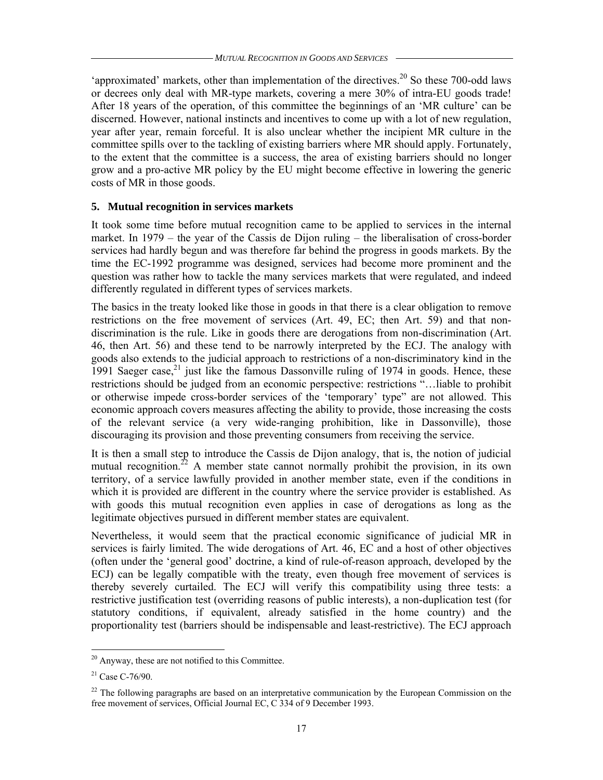'approximated' markets, other than implementation of the directives.<sup>20</sup> So these 700-odd laws or decrees only deal with MR-type markets, covering a mere 30% of intra-EU goods trade! After 18 years of the operation, of this committee the beginnings of an 'MR culture' can be discerned. However, national instincts and incentives to come up with a lot of new regulation, year after year, remain forceful. It is also unclear whether the incipient MR culture in the committee spills over to the tackling of existing barriers where MR should apply. Fortunately, to the extent that the committee is a success, the area of existing barriers should no longer grow and a pro-active MR policy by the EU might become effective in lowering the generic costs of MR in those goods.

#### **5. Mutual recognition in services markets**

It took some time before mutual recognition came to be applied to services in the internal market. In 1979 – the year of the Cassis de Dijon ruling – the liberalisation of cross-border services had hardly begun and was therefore far behind the progress in goods markets. By the time the EC-1992 programme was designed, services had become more prominent and the question was rather how to tackle the many services markets that were regulated, and indeed differently regulated in different types of services markets.

The basics in the treaty looked like those in goods in that there is a clear obligation to remove restrictions on the free movement of services (Art. 49, EC; then Art. 59) and that nondiscrimination is the rule. Like in goods there are derogations from non-discrimination (Art. 46, then Art. 56) and these tend to be narrowly interpreted by the ECJ. The analogy with goods also extends to the judicial approach to restrictions of a non-discriminatory kind in the 1991 Saeger case, $^{21}$  just like the famous Dassonville ruling of 1974 in goods. Hence, these restrictions should be judged from an economic perspective: restrictions "…liable to prohibit or otherwise impede cross-border services of the 'temporary' type" are not allowed. This economic approach covers measures affecting the ability to provide, those increasing the costs of the relevant service (a very wide-ranging prohibition, like in Dassonville), those discouraging its provision and those preventing consumers from receiving the service.

It is then a small step to introduce the Cassis de Dijon analogy, that is, the notion of judicial mutual recognition.<sup>22</sup> A member state cannot normally prohibit the provision, in its own territory, of a service lawfully provided in another member state, even if the conditions in which it is provided are different in the country where the service provider is established. As with goods this mutual recognition even applies in case of derogations as long as the legitimate objectives pursued in different member states are equivalent.

Nevertheless, it would seem that the practical economic significance of judicial MR in services is fairly limited. The wide derogations of Art. 46, EC and a host of other objectives (often under the 'general good' doctrine, a kind of rule-of-reason approach, developed by the ECJ) can be legally compatible with the treaty, even though free movement of services is thereby severely curtailed. The ECJ will verify this compatibility using three tests: a restrictive justification test (overriding reasons of public interests), a non-duplication test (for statutory conditions, if equivalent, already satisfied in the home country) and the proportionality test (barriers should be indispensable and least-restrictive). The ECJ approach

<sup>20</sup> Anyway, these are not notified to this Committee.

 $21$  Case C-76/90.

 $2<sup>22</sup>$  The following paragraphs are based on an interpretative communication by the European Commission on the free movement of services, Official Journal EC, C 334 of 9 December 1993.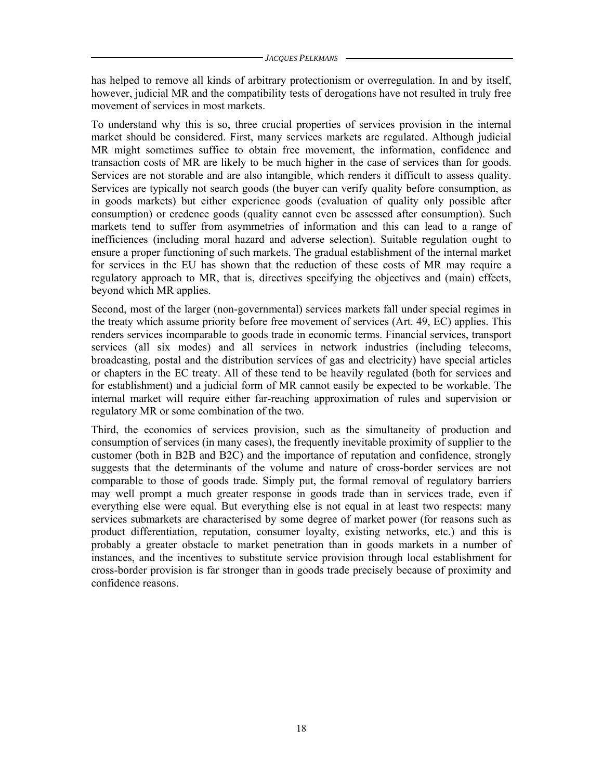has helped to remove all kinds of arbitrary protectionism or overregulation. In and by itself, however, judicial MR and the compatibility tests of derogations have not resulted in truly free movement of services in most markets.

To understand why this is so, three crucial properties of services provision in the internal market should be considered. First, many services markets are regulated. Although judicial MR might sometimes suffice to obtain free movement, the information, confidence and transaction costs of MR are likely to be much higher in the case of services than for goods. Services are not storable and are also intangible, which renders it difficult to assess quality. Services are typically not search goods (the buyer can verify quality before consumption, as in goods markets) but either experience goods (evaluation of quality only possible after consumption) or credence goods (quality cannot even be assessed after consumption). Such markets tend to suffer from asymmetries of information and this can lead to a range of inefficiences (including moral hazard and adverse selection). Suitable regulation ought to ensure a proper functioning of such markets. The gradual establishment of the internal market for services in the EU has shown that the reduction of these costs of MR may require a regulatory approach to MR, that is, directives specifying the objectives and (main) effects, beyond which MR applies.

Second, most of the larger (non-governmental) services markets fall under special regimes in the treaty which assume priority before free movement of services (Art. 49, EC) applies. This renders services incomparable to goods trade in economic terms. Financial services, transport services (all six modes) and all services in network industries (including telecoms, broadcasting, postal and the distribution services of gas and electricity) have special articles or chapters in the EC treaty. All of these tend to be heavily regulated (both for services and for establishment) and a judicial form of MR cannot easily be expected to be workable. The internal market will require either far-reaching approximation of rules and supervision or regulatory MR or some combination of the two.

Third, the economics of services provision, such as the simultaneity of production and consumption of services (in many cases), the frequently inevitable proximity of supplier to the customer (both in B2B and B2C) and the importance of reputation and confidence, strongly suggests that the determinants of the volume and nature of cross-border services are not comparable to those of goods trade. Simply put, the formal removal of regulatory barriers may well prompt a much greater response in goods trade than in services trade, even if everything else were equal. But everything else is not equal in at least two respects: many services submarkets are characterised by some degree of market power (for reasons such as product differentiation, reputation, consumer loyalty, existing networks, etc.) and this is probably a greater obstacle to market penetration than in goods markets in a number of instances, and the incentives to substitute service provision through local establishment for cross-border provision is far stronger than in goods trade precisely because of proximity and confidence reasons.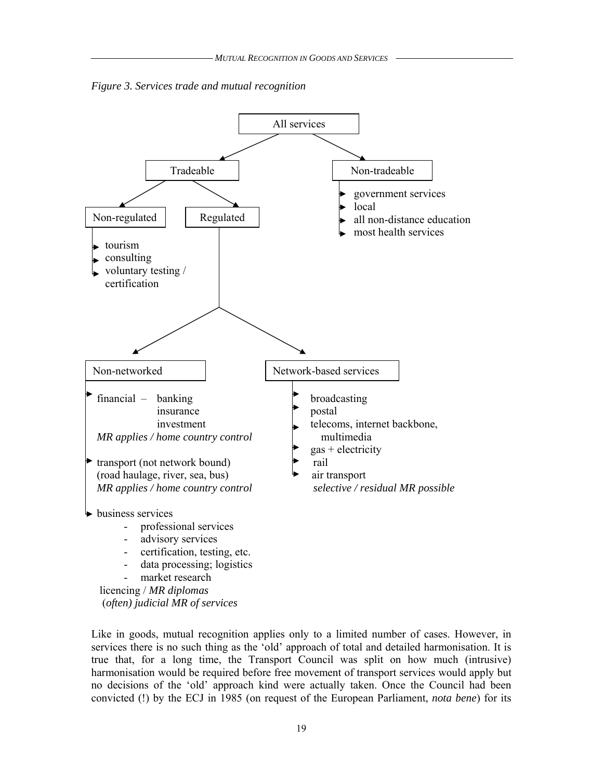

*Figure 3. Services trade and mutual recognition* 

market research licencing / *MR diplomas*  (*often) judicial MR of services* 

Like in goods, mutual recognition applies only to a limited number of cases. However, in services there is no such thing as the 'old' approach of total and detailed harmonisation. It is true that, for a long time, the Transport Council was split on how much (intrusive) harmonisation would be required before free movement of transport services would apply but no decisions of the 'old' approach kind were actually taken. Once the Council had been convicted (!) by the ECJ in 1985 (on request of the European Parliament, *nota bene*) for its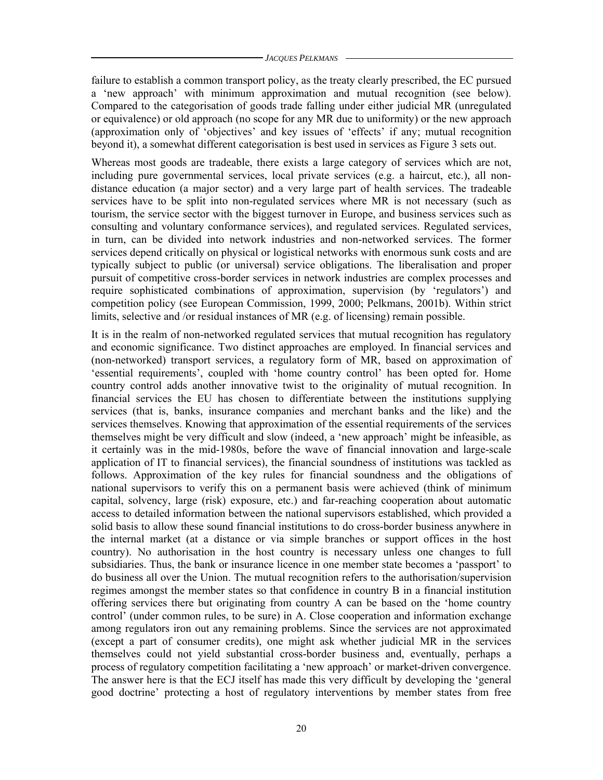failure to establish a common transport policy, as the treaty clearly prescribed, the EC pursued a 'new approach' with minimum approximation and mutual recognition (see below). Compared to the categorisation of goods trade falling under either judicial MR (unregulated or equivalence) or old approach (no scope for any MR due to uniformity) or the new approach (approximation only of 'objectives' and key issues of 'effects' if any; mutual recognition beyond it), a somewhat different categorisation is best used in services as Figure 3 sets out.

Whereas most goods are tradeable, there exists a large category of services which are not, including pure governmental services, local private services (e.g. a haircut, etc.), all nondistance education (a major sector) and a very large part of health services. The tradeable services have to be split into non-regulated services where MR is not necessary (such as tourism, the service sector with the biggest turnover in Europe, and business services such as consulting and voluntary conformance services), and regulated services. Regulated services, in turn, can be divided into network industries and non-networked services. The former services depend critically on physical or logistical networks with enormous sunk costs and are typically subject to public (or universal) service obligations. The liberalisation and proper pursuit of competitive cross-border services in network industries are complex processes and require sophisticated combinations of approximation, supervision (by 'regulators') and competition policy (see European Commission, 1999, 2000; Pelkmans, 2001b). Within strict limits, selective and /or residual instances of MR (e.g. of licensing) remain possible.

It is in the realm of non-networked regulated services that mutual recognition has regulatory and economic significance. Two distinct approaches are employed. In financial services and (non-networked) transport services, a regulatory form of MR, based on approximation of 'essential requirements', coupled with 'home country control' has been opted for. Home country control adds another innovative twist to the originality of mutual recognition. In financial services the EU has chosen to differentiate between the institutions supplying services (that is, banks, insurance companies and merchant banks and the like) and the services themselves. Knowing that approximation of the essential requirements of the services themselves might be very difficult and slow (indeed, a 'new approach' might be infeasible, as it certainly was in the mid-1980s, before the wave of financial innovation and large-scale application of IT to financial services), the financial soundness of institutions was tackled as follows. Approximation of the key rules for financial soundness and the obligations of national supervisors to verify this on a permanent basis were achieved (think of minimum capital, solvency, large (risk) exposure, etc.) and far-reaching cooperation about automatic access to detailed information between the national supervisors established, which provided a solid basis to allow these sound financial institutions to do cross-border business anywhere in the internal market (at a distance or via simple branches or support offices in the host country). No authorisation in the host country is necessary unless one changes to full subsidiaries. Thus, the bank or insurance licence in one member state becomes a 'passport' to do business all over the Union. The mutual recognition refers to the authorisation/supervision regimes amongst the member states so that confidence in country B in a financial institution offering services there but originating from country A can be based on the 'home country control' (under common rules, to be sure) in A. Close cooperation and information exchange among regulators iron out any remaining problems. Since the services are not approximated (except a part of consumer credits), one might ask whether judicial MR in the services themselves could not yield substantial cross-border business and, eventually, perhaps a process of regulatory competition facilitating a 'new approach' or market-driven convergence. The answer here is that the ECJ itself has made this very difficult by developing the 'general good doctrine' protecting a host of regulatory interventions by member states from free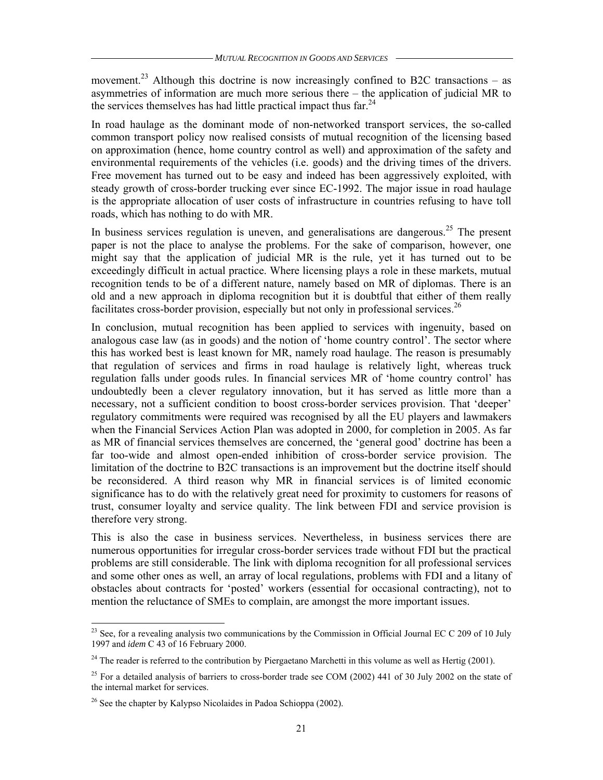movement.<sup>23</sup> Although this doctrine is now increasingly confined to B2C transactions – as asymmetries of information are much more serious there – the application of judicial MR to the services themselves has had little practical impact thus  $\text{far.}^{24}$ 

In road haulage as the dominant mode of non-networked transport services, the so-called common transport policy now realised consists of mutual recognition of the licensing based on approximation (hence, home country control as well) and approximation of the safety and environmental requirements of the vehicles (i.e. goods) and the driving times of the drivers. Free movement has turned out to be easy and indeed has been aggressively exploited, with steady growth of cross-border trucking ever since EC-1992. The major issue in road haulage is the appropriate allocation of user costs of infrastructure in countries refusing to have toll roads, which has nothing to do with MR.

In business services regulation is uneven, and generalisations are dangerous.<sup>25</sup> The present paper is not the place to analyse the problems. For the sake of comparison, however, one might say that the application of judicial MR is the rule, yet it has turned out to be exceedingly difficult in actual practice. Where licensing plays a role in these markets, mutual recognition tends to be of a different nature, namely based on MR of diplomas. There is an old and a new approach in diploma recognition but it is doubtful that either of them really facilitates cross-border provision, especially but not only in professional services.<sup>26</sup>

In conclusion, mutual recognition has been applied to services with ingenuity, based on analogous case law (as in goods) and the notion of 'home country control'. The sector where this has worked best is least known for MR, namely road haulage. The reason is presumably that regulation of services and firms in road haulage is relatively light, whereas truck regulation falls under goods rules. In financial services MR of 'home country control' has undoubtedly been a clever regulatory innovation, but it has served as little more than a necessary, not a sufficient condition to boost cross-border services provision. That 'deeper' regulatory commitments were required was recognised by all the EU players and lawmakers when the Financial Services Action Plan was adopted in 2000, for completion in 2005. As far as MR of financial services themselves are concerned, the 'general good' doctrine has been a far too-wide and almost open-ended inhibition of cross-border service provision. The limitation of the doctrine to B2C transactions is an improvement but the doctrine itself should be reconsidered. A third reason why MR in financial services is of limited economic significance has to do with the relatively great need for proximity to customers for reasons of trust, consumer loyalty and service quality. The link between FDI and service provision is therefore very strong.

This is also the case in business services. Nevertheless, in business services there are numerous opportunities for irregular cross-border services trade without FDI but the practical problems are still considerable. The link with diploma recognition for all professional services and some other ones as well, an array of local regulations, problems with FDI and a litany of obstacles about contracts for 'posted' workers (essential for occasional contracting), not to mention the reluctance of SMEs to complain, are amongst the more important issues.

 $^{23}$  See, for a revealing analysis two communications by the Commission in Official Journal EC C 209 of 10 July 1997 and *idem* C 43 of 16 February 2000.

<sup>&</sup>lt;sup>24</sup> The reader is referred to the contribution by Piergaetano Marchetti in this volume as well as Hertig (2001).

<sup>&</sup>lt;sup>25</sup> For a detailed analysis of barriers to cross-border trade see COM (2002) 441 of 30 July 2002 on the state of the internal market for services.

 $26$  See the chapter by Kalypso Nicolaides in Padoa Schioppa (2002).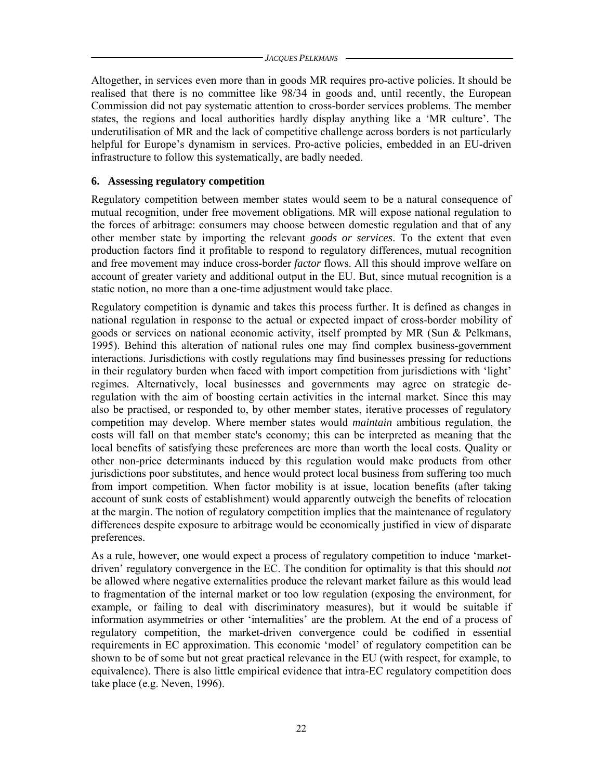Altogether, in services even more than in goods MR requires pro-active policies. It should be realised that there is no committee like 98/34 in goods and, until recently, the European Commission did not pay systematic attention to cross-border services problems. The member states, the regions and local authorities hardly display anything like a 'MR culture'. The underutilisation of MR and the lack of competitive challenge across borders is not particularly helpful for Europe's dynamism in services. Pro-active policies, embedded in an EU-driven infrastructure to follow this systematically, are badly needed.

#### **6. Assessing regulatory competition**

Regulatory competition between member states would seem to be a natural consequence of mutual recognition, under free movement obligations. MR will expose national regulation to the forces of arbitrage: consumers may choose between domestic regulation and that of any other member state by importing the relevant *goods or services*. To the extent that even production factors find it profitable to respond to regulatory differences, mutual recognition and free movement may induce cross-border *factor* flows. All this should improve welfare on account of greater variety and additional output in the EU. But, since mutual recognition is a static notion, no more than a one-time adjustment would take place.

Regulatory competition is dynamic and takes this process further. It is defined as changes in national regulation in response to the actual or expected impact of cross-border mobility of goods or services on national economic activity, itself prompted by MR (Sun & Pelkmans, 1995). Behind this alteration of national rules one may find complex business-government interactions. Jurisdictions with costly regulations may find businesses pressing for reductions in their regulatory burden when faced with import competition from jurisdictions with 'light' regimes. Alternatively, local businesses and governments may agree on strategic deregulation with the aim of boosting certain activities in the internal market. Since this may also be practised, or responded to, by other member states, iterative processes of regulatory competition may develop. Where member states would *maintain* ambitious regulation, the costs will fall on that member state's economy; this can be interpreted as meaning that the local benefits of satisfying these preferences are more than worth the local costs. Quality or other non-price determinants induced by this regulation would make products from other jurisdictions poor substitutes, and hence would protect local business from suffering too much from import competition. When factor mobility is at issue, location benefits (after taking account of sunk costs of establishment) would apparently outweigh the benefits of relocation at the margin. The notion of regulatory competition implies that the maintenance of regulatory differences despite exposure to arbitrage would be economically justified in view of disparate preferences.

As a rule, however, one would expect a process of regulatory competition to induce 'marketdriven' regulatory convergence in the EC. The condition for optimality is that this should *not* be allowed where negative externalities produce the relevant market failure as this would lead to fragmentation of the internal market or too low regulation (exposing the environment, for example, or failing to deal with discriminatory measures), but it would be suitable if information asymmetries or other 'internalities' are the problem. At the end of a process of regulatory competition, the market-driven convergence could be codified in essential requirements in EC approximation. This economic 'model' of regulatory competition can be shown to be of some but not great practical relevance in the EU (with respect, for example, to equivalence). There is also little empirical evidence that intra-EC regulatory competition does take place (e.g. Neven, 1996).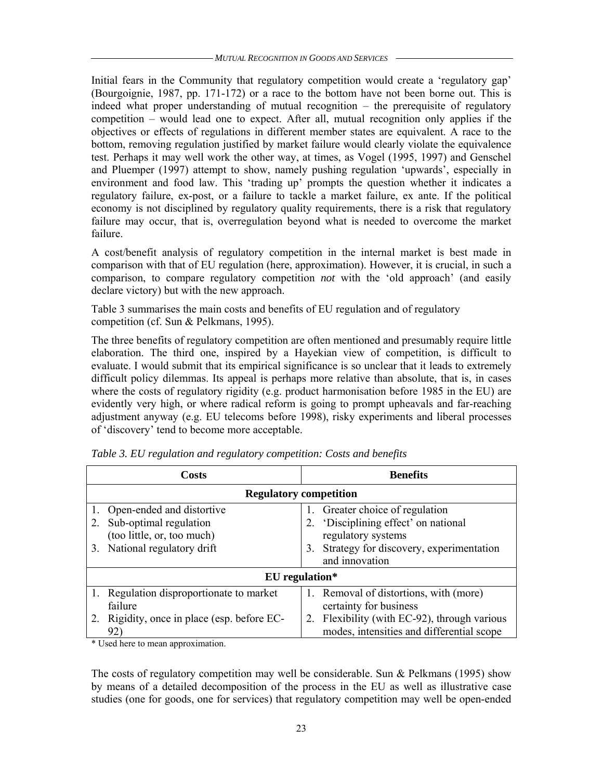Initial fears in the Community that regulatory competition would create a 'regulatory gap' (Bourgoignie, 1987, pp. 171-172) or a race to the bottom have not been borne out. This is indeed what proper understanding of mutual recognition – the prerequisite of regulatory competition – would lead one to expect. After all, mutual recognition only applies if the objectives or effects of regulations in different member states are equivalent. A race to the bottom, removing regulation justified by market failure would clearly violate the equivalence test. Perhaps it may well work the other way, at times, as Vogel (1995, 1997) and Genschel and Pluemper (1997) attempt to show, namely pushing regulation 'upwards', especially in environment and food law. This 'trading up' prompts the question whether it indicates a regulatory failure, ex-post, or a failure to tackle a market failure, ex ante. If the political economy is not disciplined by regulatory quality requirements, there is a risk that regulatory failure may occur, that is, overregulation beyond what is needed to overcome the market failure.

A cost/benefit analysis of regulatory competition in the internal market is best made in comparison with that of EU regulation (here, approximation). However, it is crucial, in such a comparison, to compare regulatory competition *not* with the 'old approach' (and easily declare victory) but with the new approach.

Table 3 summarises the main costs and benefits of EU regulation and of regulatory competition (cf. Sun & Pelkmans, 1995).

The three benefits of regulatory competition are often mentioned and presumably require little elaboration. The third one, inspired by a Hayekian view of competition, is difficult to evaluate. I would submit that its empirical significance is so unclear that it leads to extremely difficult policy dilemmas. Its appeal is perhaps more relative than absolute, that is, in cases where the costs of regulatory rigidity (e.g. product harmonisation before 1985 in the EU) are evidently very high, or where radical reform is going to prompt upheavals and far-reaching adjustment anyway (e.g. EU telecoms before 1998), risky experiments and liberal processes of 'discovery' tend to become more acceptable.

| Costs                                                | <b>Benefits</b>                                                                           |  |  |
|------------------------------------------------------|-------------------------------------------------------------------------------------------|--|--|
| <b>Regulatory competition</b>                        |                                                                                           |  |  |
| Open-ended and distortive                            | 1. Greater choice of regulation                                                           |  |  |
| Sub-optimal regulation<br>(too little, or, too much) | 'Disciplining effect' on national<br>regulatory systems                                   |  |  |
| National regulatory drift<br>$3_{-}$                 | Strategy for discovery, experimentation<br>3.<br>and innovation                           |  |  |
| EU regulation*                                       |                                                                                           |  |  |
| 1. Regulation disproportionate to market<br>failure  | 1. Removal of distortions, with (more)<br>certainty for business                          |  |  |
| 2. Rigidity, once in place (esp. before EC-<br>92)   | 2. Flexibility (with EC-92), through various<br>modes, intensities and differential scope |  |  |

| Table 3. EU regulation and regulatory competition: Costs and benefits |  |  |
|-----------------------------------------------------------------------|--|--|
|                                                                       |  |  |

\* Used here to mean approximation.

The costs of regulatory competition may well be considerable. Sun & Pelkmans (1995) show by means of a detailed decomposition of the process in the EU as well as illustrative case studies (one for goods, one for services) that regulatory competition may well be open-ended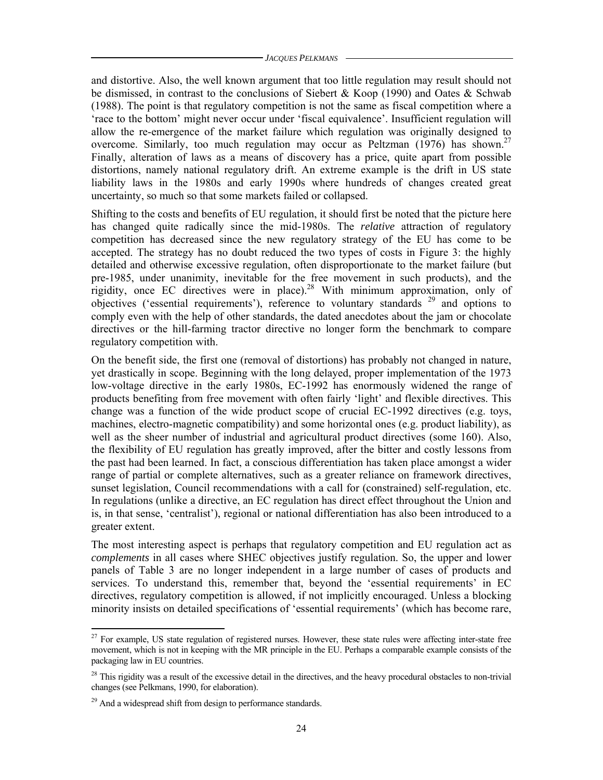and distortive. Also, the well known argument that too little regulation may result should not be dismissed, in contrast to the conclusions of Siebert & Koop (1990) and Oates & Schwab (1988). The point is that regulatory competition is not the same as fiscal competition where a 'race to the bottom' might never occur under 'fiscal equivalence'. Insufficient regulation will allow the re-emergence of the market failure which regulation was originally designed to overcome. Similarly, too much regulation may occur as Peltzman (1976) has shown.<sup>27</sup> Finally, alteration of laws as a means of discovery has a price, quite apart from possible distortions, namely national regulatory drift. An extreme example is the drift in US state liability laws in the 1980s and early 1990s where hundreds of changes created great uncertainty, so much so that some markets failed or collapsed.

Shifting to the costs and benefits of EU regulation, it should first be noted that the picture here has changed quite radically since the mid-1980s. The *relative* attraction of regulatory competition has decreased since the new regulatory strategy of the EU has come to be accepted. The strategy has no doubt reduced the two types of costs in Figure 3: the highly detailed and otherwise excessive regulation, often disproportionate to the market failure (but pre-1985, under unanimity, inevitable for the free movement in such products), and the rigidity, once EC directives were in place).28 With minimum approximation, only of objectives ('essential requirements'), reference to voluntary standards 29 and options to comply even with the help of other standards, the dated anecdotes about the jam or chocolate directives or the hill-farming tractor directive no longer form the benchmark to compare regulatory competition with.

On the benefit side, the first one (removal of distortions) has probably not changed in nature, yet drastically in scope. Beginning with the long delayed, proper implementation of the 1973 low-voltage directive in the early 1980s, EC-1992 has enormously widened the range of products benefiting from free movement with often fairly 'light' and flexible directives. This change was a function of the wide product scope of crucial EC-1992 directives (e.g. toys, machines, electro-magnetic compatibility) and some horizontal ones (e.g. product liability), as well as the sheer number of industrial and agricultural product directives (some 160). Also, the flexibility of EU regulation has greatly improved, after the bitter and costly lessons from the past had been learned. In fact, a conscious differentiation has taken place amongst a wider range of partial or complete alternatives, such as a greater reliance on framework directives, sunset legislation, Council recommendations with a call for (constrained) self-regulation, etc. In regulations (unlike a directive, an EC regulation has direct effect throughout the Union and is, in that sense, 'centralist'), regional or national differentiation has also been introduced to a greater extent.

The most interesting aspect is perhaps that regulatory competition and EU regulation act as *complements* in all cases where SHEC objectives justify regulation. So, the upper and lower panels of Table 3 are no longer independent in a large number of cases of products and services. To understand this, remember that, beyond the 'essential requirements' in EC directives, regulatory competition is allowed, if not implicitly encouraged. Unless a blocking minority insists on detailed specifications of 'essential requirements' (which has become rare,

 $27$  For example, US state regulation of registered nurses. However, these state rules were affecting inter-state free movement, which is not in keeping with the MR principle in the EU. Perhaps a comparable example consists of the packaging law in EU countries.

 $2<sup>8</sup>$  This rigidity was a result of the excessive detail in the directives, and the heavy procedural obstacles to non-trivial changes (see Pelkmans, 1990, for elaboration).

<sup>&</sup>lt;sup>29</sup> And a widespread shift from design to performance standards.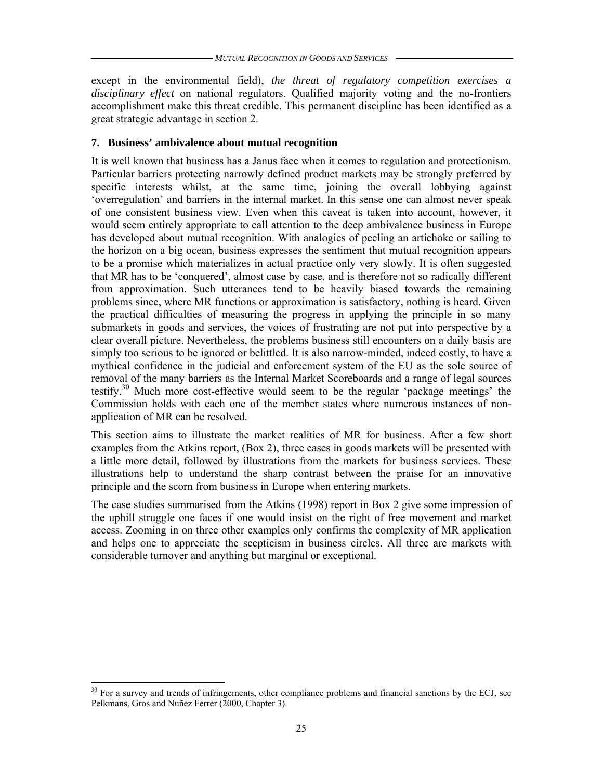except in the environmental field), *the threat of regulatory competition exercises a disciplinary effect* on national regulators. Qualified majority voting and the no-frontiers accomplishment make this threat credible. This permanent discipline has been identified as a great strategic advantage in section 2.

#### **7. Business' ambivalence about mutual recognition**

It is well known that business has a Janus face when it comes to regulation and protectionism. Particular barriers protecting narrowly defined product markets may be strongly preferred by specific interests whilst, at the same time, joining the overall lobbying against 'overregulation' and barriers in the internal market. In this sense one can almost never speak of one consistent business view. Even when this caveat is taken into account, however, it would seem entirely appropriate to call attention to the deep ambivalence business in Europe has developed about mutual recognition. With analogies of peeling an artichoke or sailing to the horizon on a big ocean, business expresses the sentiment that mutual recognition appears to be a promise which materializes in actual practice only very slowly. It is often suggested that MR has to be 'conquered', almost case by case, and is therefore not so radically different from approximation. Such utterances tend to be heavily biased towards the remaining problems since, where MR functions or approximation is satisfactory, nothing is heard. Given the practical difficulties of measuring the progress in applying the principle in so many submarkets in goods and services, the voices of frustrating are not put into perspective by a clear overall picture. Nevertheless, the problems business still encounters on a daily basis are simply too serious to be ignored or belittled. It is also narrow-minded, indeed costly, to have a mythical confidence in the judicial and enforcement system of the EU as the sole source of removal of the many barriers as the Internal Market Scoreboards and a range of legal sources testify.30 Much more cost-effective would seem to be the regular 'package meetings' the Commission holds with each one of the member states where numerous instances of nonapplication of MR can be resolved.

This section aims to illustrate the market realities of MR for business. After a few short examples from the Atkins report, (Box 2), three cases in goods markets will be presented with a little more detail, followed by illustrations from the markets for business services. These illustrations help to understand the sharp contrast between the praise for an innovative principle and the scorn from business in Europe when entering markets.

The case studies summarised from the Atkins (1998) report in Box 2 give some impression of the uphill struggle one faces if one would insist on the right of free movement and market access. Zooming in on three other examples only confirms the complexity of MR application and helps one to appreciate the scepticism in business circles. All three are markets with considerable turnover and anything but marginal or exceptional.

 $30$  For a survey and trends of infringements, other compliance problems and financial sanctions by the ECJ, see Pelkmans, Gros and Nuñez Ferrer (2000, Chapter 3).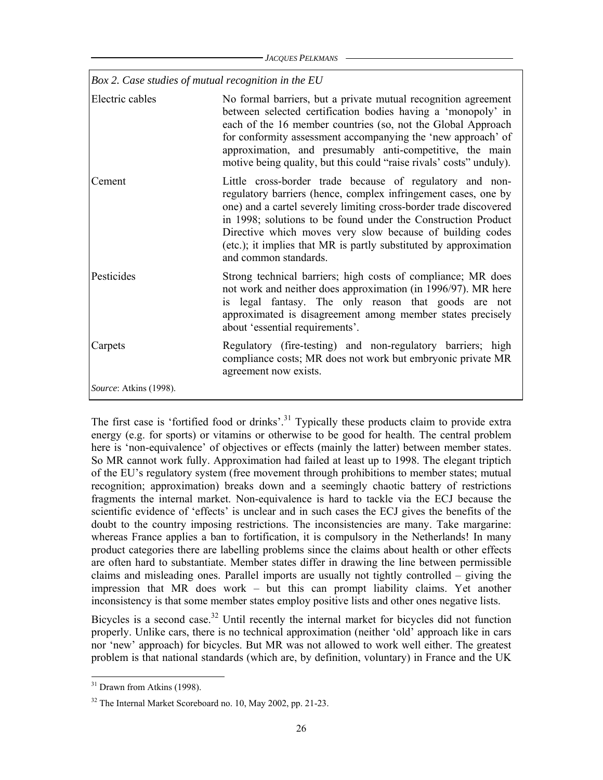*Box 2. Case studies of mutual recognition in the EU* 

| Electric cables                | No formal barriers, but a private mutual recognition agreement<br>between selected certification bodies having a 'monopoly' in<br>each of the 16 member countries (so, not the Global Approach<br>for conformity assessment accompanying the 'new approach' of<br>approximation, and presumably anti-competitive, the main<br>motive being quality, but this could "raise rivals" costs" unduly).                           |
|--------------------------------|-----------------------------------------------------------------------------------------------------------------------------------------------------------------------------------------------------------------------------------------------------------------------------------------------------------------------------------------------------------------------------------------------------------------------------|
| Cement                         | Little cross-border trade because of regulatory and non-<br>regulatory barriers (hence, complex infringement cases, one by<br>one) and a cartel severely limiting cross-border trade discovered<br>in 1998; solutions to be found under the Construction Product<br>Directive which moves very slow because of building codes<br>(etc.); it implies that MR is partly substituted by approximation<br>and common standards. |
| Pesticides                     | Strong technical barriers; high costs of compliance; MR does<br>not work and neither does approximation (in 1996/97). MR here<br>is legal fantasy. The only reason that goods are not<br>approximated is disagreement among member states precisely<br>about 'essential requirements'.                                                                                                                                      |
| Carpets                        | Regulatory (fire-testing) and non-regulatory barriers; high<br>compliance costs; MR does not work but embryonic private MR<br>agreement now exists.                                                                                                                                                                                                                                                                         |
| <i>Source</i> : Atkins (1998). |                                                                                                                                                                                                                                                                                                                                                                                                                             |

The first case is 'fortified food or drinks'.<sup>31</sup> Typically these products claim to provide extra energy (e.g. for sports) or vitamins or otherwise to be good for health. The central problem here is 'non-equivalence' of objectives or effects (mainly the latter) between member states. So MR cannot work fully. Approximation had failed at least up to 1998. The elegant triptich of the EU's regulatory system (free movement through prohibitions to member states; mutual recognition; approximation) breaks down and a seemingly chaotic battery of restrictions fragments the internal market. Non-equivalence is hard to tackle via the ECJ because the scientific evidence of 'effects' is unclear and in such cases the ECJ gives the benefits of the doubt to the country imposing restrictions. The inconsistencies are many. Take margarine: whereas France applies a ban to fortification, it is compulsory in the Netherlands! In many product categories there are labelling problems since the claims about health or other effects are often hard to substantiate. Member states differ in drawing the line between permissible claims and misleading ones. Parallel imports are usually not tightly controlled – giving the impression that MR does work – but this can prompt liability claims. Yet another inconsistency is that some member states employ positive lists and other ones negative lists.

Bicycles is a second case.<sup>32</sup> Until recently the internal market for bicycles did not function properly. Unlike cars, there is no technical approximation (neither 'old' approach like in cars nor 'new' approach) for bicycles. But MR was not allowed to work well either. The greatest problem is that national standards (which are, by definition, voluntary) in France and the UK

 $31$  Drawn from Atkins (1998).

<sup>&</sup>lt;sup>32</sup> The Internal Market Scoreboard no. 10, May 2002, pp. 21-23.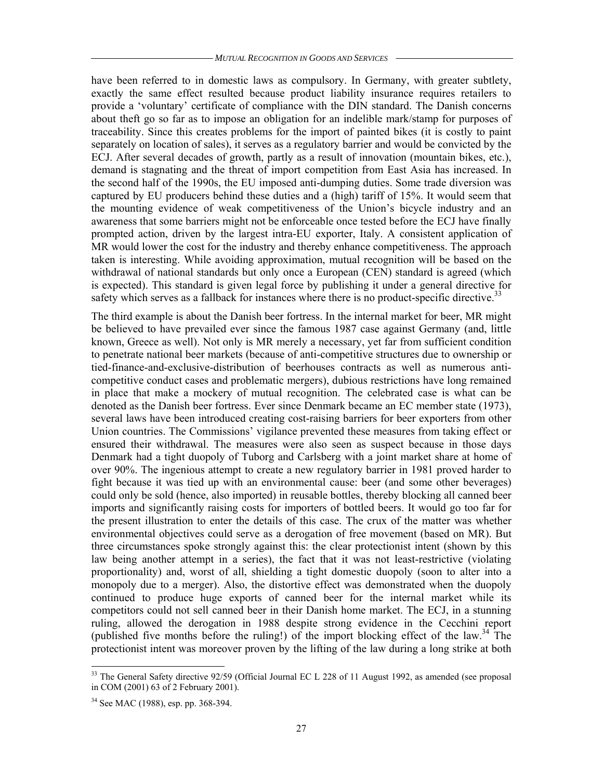have been referred to in domestic laws as compulsory. In Germany, with greater subtlety, exactly the same effect resulted because product liability insurance requires retailers to provide a 'voluntary' certificate of compliance with the DIN standard. The Danish concerns about theft go so far as to impose an obligation for an indelible mark/stamp for purposes of traceability. Since this creates problems for the import of painted bikes (it is costly to paint separately on location of sales), it serves as a regulatory barrier and would be convicted by the ECJ. After several decades of growth, partly as a result of innovation (mountain bikes, etc.), demand is stagnating and the threat of import competition from East Asia has increased. In the second half of the 1990s, the EU imposed anti-dumping duties. Some trade diversion was captured by EU producers behind these duties and a (high) tariff of 15%. It would seem that the mounting evidence of weak competitiveness of the Union's bicycle industry and an awareness that some barriers might not be enforceable once tested before the ECJ have finally prompted action, driven by the largest intra-EU exporter, Italy. A consistent application of MR would lower the cost for the industry and thereby enhance competitiveness. The approach taken is interesting. While avoiding approximation, mutual recognition will be based on the withdrawal of national standards but only once a European (CEN) standard is agreed (which is expected). This standard is given legal force by publishing it under a general directive for safety which serves as a fallback for instances where there is no product-specific directive.<sup>33</sup>

The third example is about the Danish beer fortress. In the internal market for beer, MR might be believed to have prevailed ever since the famous 1987 case against Germany (and, little known, Greece as well). Not only is MR merely a necessary, yet far from sufficient condition to penetrate national beer markets (because of anti-competitive structures due to ownership or tied-finance-and-exclusive-distribution of beerhouses contracts as well as numerous anticompetitive conduct cases and problematic mergers), dubious restrictions have long remained in place that make a mockery of mutual recognition. The celebrated case is what can be denoted as the Danish beer fortress. Ever since Denmark became an EC member state (1973), several laws have been introduced creating cost-raising barriers for beer exporters from other Union countries. The Commissions' vigilance prevented these measures from taking effect or ensured their withdrawal. The measures were also seen as suspect because in those days Denmark had a tight duopoly of Tuborg and Carlsberg with a joint market share at home of over 90%. The ingenious attempt to create a new regulatory barrier in 1981 proved harder to fight because it was tied up with an environmental cause: beer (and some other beverages) could only be sold (hence, also imported) in reusable bottles, thereby blocking all canned beer imports and significantly raising costs for importers of bottled beers. It would go too far for the present illustration to enter the details of this case. The crux of the matter was whether environmental objectives could serve as a derogation of free movement (based on MR). But three circumstances spoke strongly against this: the clear protectionist intent (shown by this law being another attempt in a series), the fact that it was not least-restrictive (violating proportionality) and, worst of all, shielding a tight domestic duopoly (soon to alter into a monopoly due to a merger). Also, the distortive effect was demonstrated when the duopoly continued to produce huge exports of canned beer for the internal market while its competitors could not sell canned beer in their Danish home market. The ECJ, in a stunning ruling, allowed the derogation in 1988 despite strong evidence in the Cecchini report (published five months before the ruling!) of the import blocking effect of the law.<sup>34</sup> The protectionist intent was moreover proven by the lifting of the law during a long strike at both

<sup>&</sup>lt;sup>33</sup> The General Safety directive 92/59 (Official Journal EC L 228 of 11 August 1992, as amended (see proposal in COM (2001) 63 of 2 February 2001).

<sup>&</sup>lt;sup>34</sup> See MAC (1988), esp. pp. 368-394.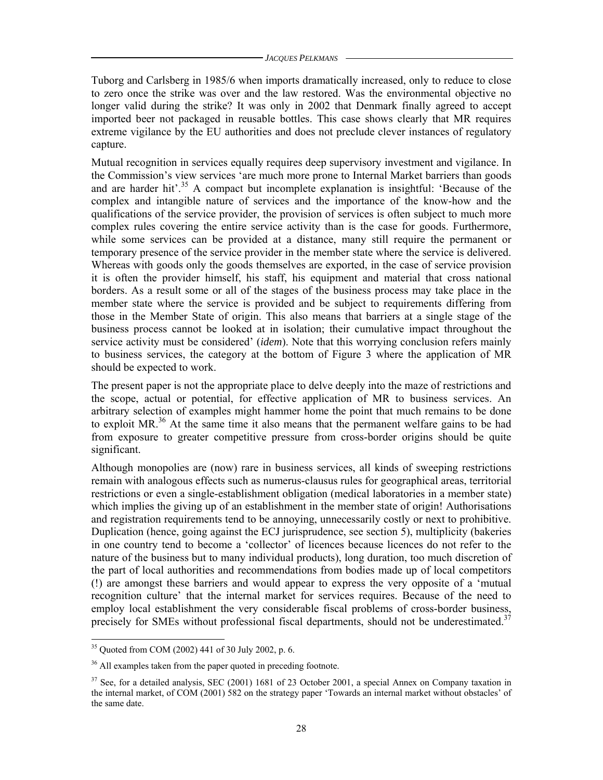Tuborg and Carlsberg in 1985/6 when imports dramatically increased, only to reduce to close to zero once the strike was over and the law restored. Was the environmental objective no longer valid during the strike? It was only in 2002 that Denmark finally agreed to accept imported beer not packaged in reusable bottles. This case shows clearly that MR requires extreme vigilance by the EU authorities and does not preclude clever instances of regulatory capture.

Mutual recognition in services equally requires deep supervisory investment and vigilance. In the Commission's view services 'are much more prone to Internal Market barriers than goods and are harder hit'.<sup>35</sup> A compact but incomplete explanation is insightful: 'Because of the complex and intangible nature of services and the importance of the know-how and the qualifications of the service provider, the provision of services is often subject to much more complex rules covering the entire service activity than is the case for goods. Furthermore, while some services can be provided at a distance, many still require the permanent or temporary presence of the service provider in the member state where the service is delivered. Whereas with goods only the goods themselves are exported, in the case of service provision it is often the provider himself, his staff, his equipment and material that cross national borders. As a result some or all of the stages of the business process may take place in the member state where the service is provided and be subject to requirements differing from those in the Member State of origin. This also means that barriers at a single stage of the business process cannot be looked at in isolation; their cumulative impact throughout the service activity must be considered' (*idem*). Note that this worrying conclusion refers mainly to business services, the category at the bottom of Figure 3 where the application of MR should be expected to work.

The present paper is not the appropriate place to delve deeply into the maze of restrictions and the scope, actual or potential, for effective application of MR to business services. An arbitrary selection of examples might hammer home the point that much remains to be done to exploit MR.<sup>36</sup> At the same time it also means that the permanent welfare gains to be had from exposure to greater competitive pressure from cross-border origins should be quite significant.

Although monopolies are (now) rare in business services, all kinds of sweeping restrictions remain with analogous effects such as numerus-clausus rules for geographical areas, territorial restrictions or even a single-establishment obligation (medical laboratories in a member state) which implies the giving up of an establishment in the member state of origin! Authorisations and registration requirements tend to be annoying, unnecessarily costly or next to prohibitive. Duplication (hence, going against the ECJ jurisprudence, see section 5), multiplicity (bakeries in one country tend to become a 'collector' of licences because licences do not refer to the nature of the business but to many individual products), long duration, too much discretion of the part of local authorities and recommendations from bodies made up of local competitors (!) are amongst these barriers and would appear to express the very opposite of a 'mutual recognition culture' that the internal market for services requires. Because of the need to employ local establishment the very considerable fiscal problems of cross-border business, precisely for SMEs without professional fiscal departments, should not be underestimated.<sup>37</sup>

 $35$  Quoted from COM (2002) 441 of 30 July 2002, p. 6.

<sup>&</sup>lt;sup>36</sup> All examples taken from the paper quoted in preceding footnote.

<sup>&</sup>lt;sup>37</sup> See, for a detailed analysis, SEC (2001) 1681 of 23 October 2001, a special Annex on Company taxation in the internal market, of COM (2001) 582 on the strategy paper 'Towards an internal market without obstacles' of the same date.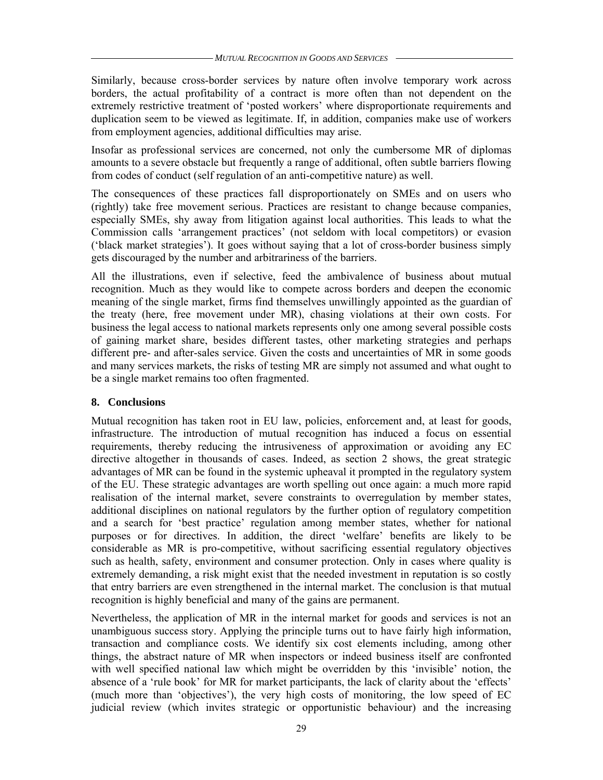Similarly, because cross-border services by nature often involve temporary work across borders, the actual profitability of a contract is more often than not dependent on the extremely restrictive treatment of 'posted workers' where disproportionate requirements and duplication seem to be viewed as legitimate. If, in addition, companies make use of workers from employment agencies, additional difficulties may arise.

Insofar as professional services are concerned, not only the cumbersome MR of diplomas amounts to a severe obstacle but frequently a range of additional, often subtle barriers flowing from codes of conduct (self regulation of an anti-competitive nature) as well.

The consequences of these practices fall disproportionately on SMEs and on users who (rightly) take free movement serious. Practices are resistant to change because companies, especially SMEs, shy away from litigation against local authorities. This leads to what the Commission calls 'arrangement practices' (not seldom with local competitors) or evasion ('black market strategies'). It goes without saying that a lot of cross-border business simply gets discouraged by the number and arbitrariness of the barriers.

All the illustrations, even if selective, feed the ambivalence of business about mutual recognition. Much as they would like to compete across borders and deepen the economic meaning of the single market, firms find themselves unwillingly appointed as the guardian of the treaty (here, free movement under MR), chasing violations at their own costs. For business the legal access to national markets represents only one among several possible costs of gaining market share, besides different tastes, other marketing strategies and perhaps different pre- and after-sales service. Given the costs and uncertainties of MR in some goods and many services markets, the risks of testing MR are simply not assumed and what ought to be a single market remains too often fragmented.

#### **8. Conclusions**

Mutual recognition has taken root in EU law, policies, enforcement and, at least for goods, infrastructure. The introduction of mutual recognition has induced a focus on essential requirements, thereby reducing the intrusiveness of approximation or avoiding any EC directive altogether in thousands of cases. Indeed, as section 2 shows, the great strategic advantages of MR can be found in the systemic upheaval it prompted in the regulatory system of the EU. These strategic advantages are worth spelling out once again: a much more rapid realisation of the internal market, severe constraints to overregulation by member states, additional disciplines on national regulators by the further option of regulatory competition and a search for 'best practice' regulation among member states, whether for national purposes or for directives. In addition, the direct 'welfare' benefits are likely to be considerable as MR is pro-competitive, without sacrificing essential regulatory objectives such as health, safety, environment and consumer protection. Only in cases where quality is extremely demanding, a risk might exist that the needed investment in reputation is so costly that entry barriers are even strengthened in the internal market. The conclusion is that mutual recognition is highly beneficial and many of the gains are permanent.

Nevertheless, the application of MR in the internal market for goods and services is not an unambiguous success story. Applying the principle turns out to have fairly high information, transaction and compliance costs. We identify six cost elements including, among other things, the abstract nature of MR when inspectors or indeed business itself are confronted with well specified national law which might be overridden by this 'invisible' notion, the absence of a 'rule book' for MR for market participants, the lack of clarity about the 'effects' (much more than 'objectives'), the very high costs of monitoring, the low speed of EC judicial review (which invites strategic or opportunistic behaviour) and the increasing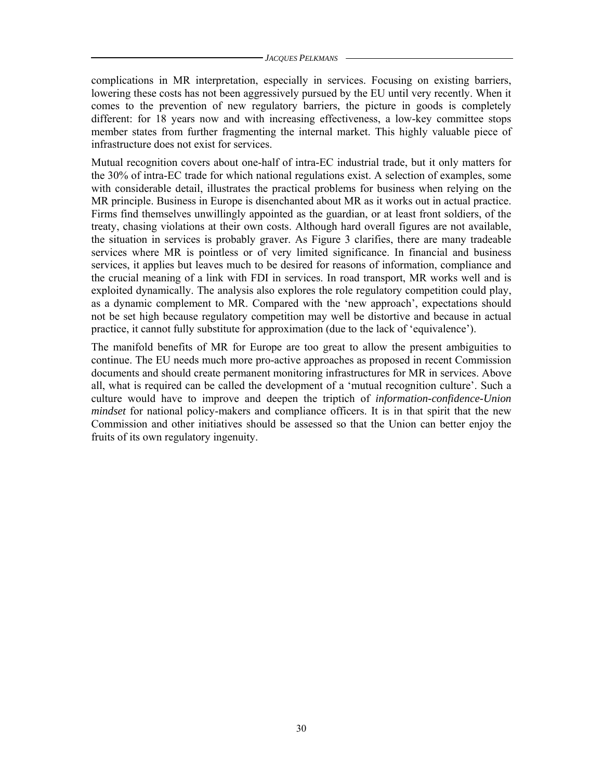complications in MR interpretation, especially in services. Focusing on existing barriers, lowering these costs has not been aggressively pursued by the EU until very recently. When it comes to the prevention of new regulatory barriers, the picture in goods is completely different: for 18 years now and with increasing effectiveness, a low-key committee stops member states from further fragmenting the internal market. This highly valuable piece of infrastructure does not exist for services.

Mutual recognition covers about one-half of intra-EC industrial trade, but it only matters for the 30% of intra-EC trade for which national regulations exist. A selection of examples, some with considerable detail, illustrates the practical problems for business when relying on the MR principle. Business in Europe is disenchanted about MR as it works out in actual practice. Firms find themselves unwillingly appointed as the guardian, or at least front soldiers, of the treaty, chasing violations at their own costs. Although hard overall figures are not available, the situation in services is probably graver. As Figure 3 clarifies, there are many tradeable services where MR is pointless or of very limited significance. In financial and business services, it applies but leaves much to be desired for reasons of information, compliance and the crucial meaning of a link with FDI in services. In road transport, MR works well and is exploited dynamically. The analysis also explores the role regulatory competition could play, as a dynamic complement to MR. Compared with the 'new approach', expectations should not be set high because regulatory competition may well be distortive and because in actual practice, it cannot fully substitute for approximation (due to the lack of 'equivalence').

The manifold benefits of MR for Europe are too great to allow the present ambiguities to continue. The EU needs much more pro-active approaches as proposed in recent Commission documents and should create permanent monitoring infrastructures for MR in services. Above all, what is required can be called the development of a 'mutual recognition culture'. Such a culture would have to improve and deepen the triptich of *information-confidence-Union mindset* for national policy-makers and compliance officers. It is in that spirit that the new Commission and other initiatives should be assessed so that the Union can better enjoy the fruits of its own regulatory ingenuity.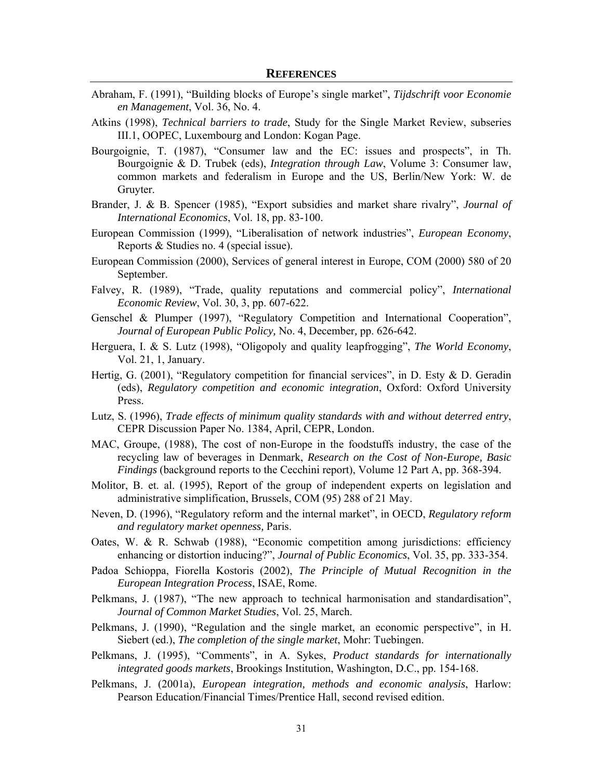- Abraham, F. (1991), "Building blocks of Europe's single market", *Tijdschrift voor Economie en Management*, Vol. 36, No. 4.
- Atkins (1998), *Technical barriers to trade*, Study for the Single Market Review, subseries III.1, OOPEC, Luxembourg and London: Kogan Page.
- Bourgoignie, T. (1987), "Consumer law and the EC: issues and prospects", in Th. Bourgoignie & D. Trubek (eds), *Integration through Law*, Volume 3: Consumer law, common markets and federalism in Europe and the US, Berlin/New York: W. de Gruyter.
- Brander, J. & B. Spencer (1985), "Export subsidies and market share rivalry", *Journal of International Economics*, Vol. 18, pp. 83-100.
- European Commission (1999), "Liberalisation of network industries", *European Economy*, Reports & Studies no. 4 (special issue).
- European Commission (2000), Services of general interest in Europe, COM (2000) 580 of 20 September.
- Falvey, R. (1989), "Trade, quality reputations and commercial policy", *International Economic Review*, Vol. 30, 3, pp. 607-622.
- Genschel & Plumper (1997), "Regulatory Competition and International Cooperation", *Journal of European Public Policy,* No. 4, December*,* pp. 626-642.
- Herguera, I. & S. Lutz (1998), "Oligopoly and quality leapfrogging", *The World Economy*, Vol. 21, 1, January.
- Hertig, G. (2001), "Regulatory competition for financial services", in D. Esty & D. Geradin (eds), *Regulatory competition and economic integration*, Oxford: Oxford University Press.
- Lutz, S. (1996), *Trade effects of minimum quality standards with and without deterred entry*, CEPR Discussion Paper No. 1384, April, CEPR, London.
- MAC, Groupe, (1988), The cost of non-Europe in the foodstuffs industry, the case of the recycling law of beverages in Denmark, *Research on the Cost of Non-Europe, Basic Findings* (background reports to the Cecchini report), Volume 12 Part A, pp. 368-394.
- Molitor, B. et. al. (1995), Report of the group of independent experts on legislation and administrative simplification, Brussels, COM (95) 288 of 21 May.
- Neven, D. (1996), "Regulatory reform and the internal market", in OECD, *Regulatory reform and regulatory market openness,* Paris.
- Oates, W. & R. Schwab (1988), "Economic competition among jurisdictions: efficiency enhancing or distortion inducing?", *Journal of Public Economics*, Vol. 35, pp. 333-354.
- Padoa Schioppa, Fiorella Kostoris (2002), *The Principle of Mutual Recognition in the European Integration Process*, ISAE, Rome.
- Pelkmans, J. (1987), "The new approach to technical harmonisation and standardisation", *Journal of Common Market Studies*, Vol. 25, March.
- Pelkmans, J. (1990), "Regulation and the single market, an economic perspective", in H. Siebert (ed.), *The completion of the single market*, Mohr: Tuebingen.
- Pelkmans, J. (1995), "Comments", in A. Sykes, *Product standards for internationally integrated goods markets*, Brookings Institution, Washington, D.C., pp. 154-168.
- Pelkmans, J. (2001a), *European integration, methods and economic analysis*, Harlow: Pearson Education/Financial Times/Prentice Hall, second revised edition.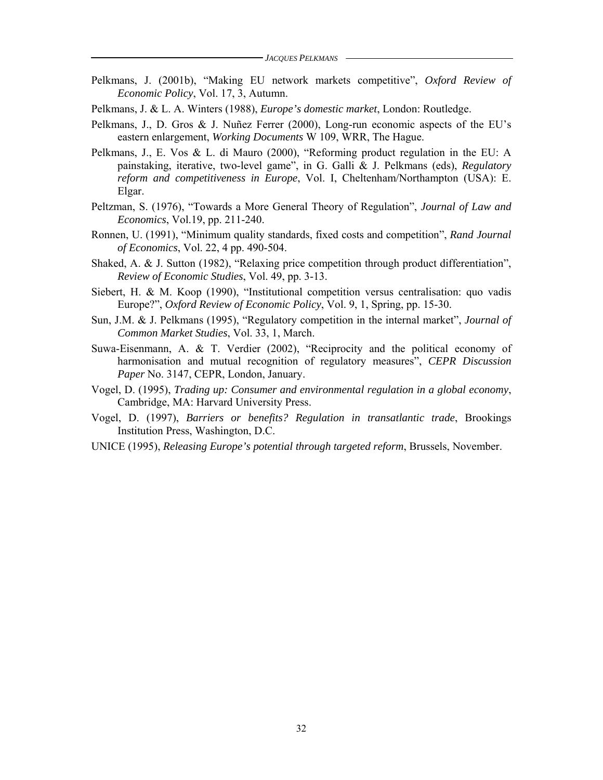- Pelkmans, J. (2001b), "Making EU network markets competitive", *Oxford Review of Economic Policy*, Vol. 17, 3, Autumn.
- Pelkmans, J. & L. A. Winters (1988), *Europe's domestic market*, London: Routledge.
- Pelkmans, J., D. Gros & J. Nuñez Ferrer (2000), Long-run economic aspects of the EU's eastern enlargement, *Working Documents* W 109, WRR, The Hague.
- Pelkmans, J., E. Vos & L. di Mauro (2000), "Reforming product regulation in the EU: A painstaking, iterative, two-level game", in G. Galli & J. Pelkmans (eds), *Regulatory reform and competitiveness in Europe*, Vol. I, Cheltenham/Northampton (USA): E. Elgar.
- Peltzman, S. (1976), "Towards a More General Theory of Regulation", *Journal of Law and Economics*, Vol.19, pp. 211-240.
- Ronnen, U. (1991), "Minimum quality standards, fixed costs and competition", *Rand Journal of Economics*, Vol. 22, 4 pp. 490-504.
- Shaked, A. & J. Sutton (1982), "Relaxing price competition through product differentiation", *Review of Economic Studies*, Vol. 49, pp. 3-13.
- Siebert, H. & M. Koop (1990), "Institutional competition versus centralisation: quo vadis Europe?", *Oxford Review of Economic Policy*, Vol. 9, 1, Spring, pp. 15-30.
- Sun, J.M. & J. Pelkmans (1995), "Regulatory competition in the internal market", *Journal of Common Market Studies*, Vol. 33, 1, March.
- Suwa-Eisenmann, A. & T. Verdier (2002), "Reciprocity and the political economy of harmonisation and mutual recognition of regulatory measures", *CEPR Discussion Paper* No. 3147, CEPR, London, January.
- Vogel, D. (1995), *Trading up: Consumer and environmental regulation in a global economy*, Cambridge, MA: Harvard University Press.
- Vogel, D. (1997), *Barriers or benefits? Regulation in transatlantic trade*, Brookings Institution Press, Washington, D.C.
- UNICE (1995), *Releasing Europe's potential through targeted reform*, Brussels, November.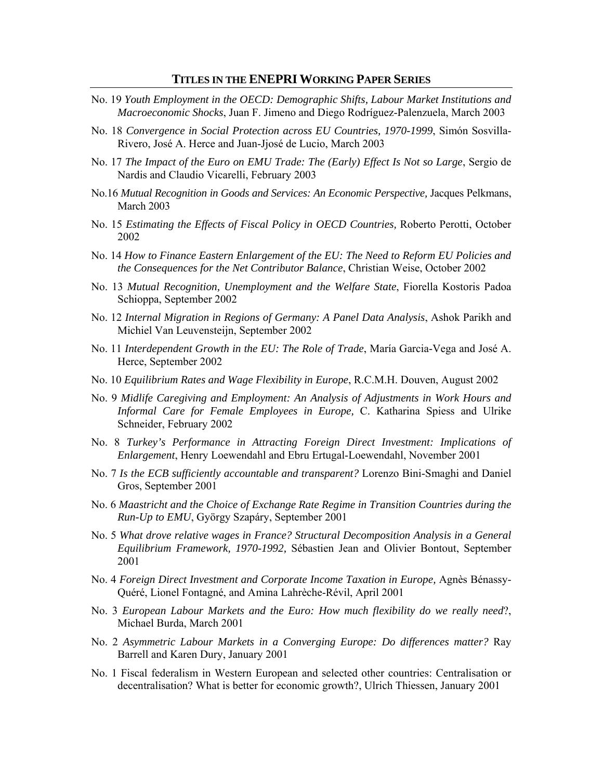- No. 19 *Youth Employment in the OECD: Demographic Shifts, Labour Market Institutions and Macroeconomic Shocks*, Juan F. Jimeno and Diego Rodríguez-Palenzuela, March 2003
- No. 18 *Convergence in Social Protection across EU Countries, 1970-1999*, Simón Sosvilla-Rivero, José A. Herce and Juan-Jjosé de Lucio, March 2003
- No. 17 *The Impact of the Euro on EMU Trade: The (Early) Effect Is Not so Large*, Sergio de Nardis and Claudio Vicarelli, February 2003
- No.16 *Mutual Recognition in Goods and Services: An Economic Perspective,* Jacques Pelkmans, March 2003
- No. 15 *Estimating the Effects of Fiscal Policy in OECD Countries,* Roberto Perotti, October 2002
- No. 14 *How to Finance Eastern Enlargement of the EU: The Need to Reform EU Policies and the Consequences for the Net Contributor Balance*, Christian Weise, October 2002
- No. 13 *Mutual Recognition, Unemployment and the Welfare State*, Fiorella Kostoris Padoa Schioppa, September 2002
- No. 12 *Internal Migration in Regions of Germany: A Panel Data Analysis*, Ashok Parikh and Michiel Van Leuvensteijn, September 2002
- No. 11 *Interdependent Growth in the EU: The Role of Trade*, María Garcia-Vega and José A. Herce, September 2002
- No. 10 *Equilibrium Rates and Wage Flexibility in Europe*, R.C.M.H. Douven, August 2002
- No. 9 *Midlife Caregiving and Employment: An Analysis of Adjustments in Work Hours and Informal Care for Female Employees in Europe,* C. Katharina Spiess and Ulrike Schneider, February 2002
- No. 8 *Turkey's Performance in Attracting Foreign Direct Investment: Implications of Enlargement*, Henry Loewendahl and Ebru Ertugal-Loewendahl, November 2001
- No. 7 *Is the ECB sufficiently accountable and transparent?* Lorenzo Bini-Smaghi and Daniel Gros, September 2001
- No. 6 *Maastricht and the Choice of Exchange Rate Regime in Transition Countries during the Run-Up to EMU*, György Szapáry, September 2001
- No. 5 *What drove relative wages in France? Structural Decomposition Analysis in a General Equilibrium Framework, 1970-1992,* Sébastien Jean and Olivier Bontout, September 2001
- No. 4 *Foreign Direct Investment and Corporate Income Taxation in Europe,* Agnès Bénassy-Quéré, Lionel Fontagné, and Amina Lahrèche-Révil, April 2001
- No. 3 *European Labour Markets and the Euro: How much flexibility do we really need*?, Michael Burda, March 2001
- No. 2 *Asymmetric Labour Markets in a Converging Europe: Do differences matter?* Ray Barrell and Karen Dury, January 2001
- No. 1 Fiscal federalism in Western European and selected other countries: Centralisation or decentralisation? What is better for economic growth?, Ulrich Thiessen, January 2001